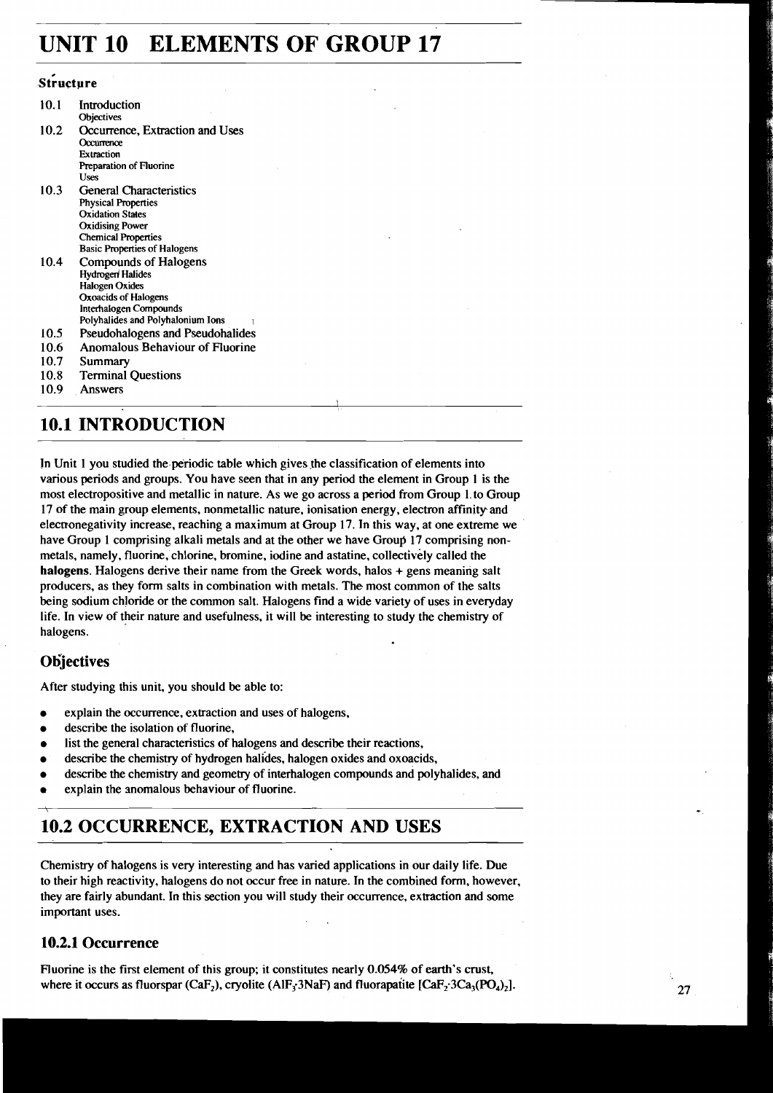# **UNIT 10 ELEMENTS OF GROUP 17**

### Structure

| 10.1 | <b>Introduction</b>                 |
|------|-------------------------------------|
|      | Objectives                          |
| 10.2 | Occurrence, Extraction and Uses     |
|      | Occurrence                          |
|      | Extraction                          |
|      | Preparation of Fluorine             |
|      | Uses                                |
| 10.3 | <b>General Characteristics</b>      |
|      | <b>Physical Properties</b>          |
|      | <b>Oxidation States</b>             |
|      | <b>Oxidising Power</b>              |
|      | <b>Chemical Properties</b>          |
|      | <b>Basic Properties of Halogens</b> |
| 10.4 | Compounds of Halogens               |
|      | <b>Hydrogen Halides</b>             |
|      | <b>Halogen Oxides</b>               |
|      | Oxoacids of Halogens                |
|      | Interhalogen Compounds              |
|      | Polyhalides and Polyhalonium Ions   |
| 10.5 | Pseudohalogens and Pseudohalides    |
| 10.6 | Anomalous Behaviour of Fluorine     |
| 10.7 | Summary                             |
| 10.8 | <b>Terminal Questions</b>           |
| 10.9 | Answers                             |
|      |                                     |

## **10.1 INTRODUCTION**

In Unit 1 you studied the periodic table which gives the classification of elements into various periods and groups. You have seen that in any period the element in Group 1 is the most electropositive and metallic in nature. As we go across a period from Group 1. to Group 17 of the main group elements, nonmetallic nature, ionisation energy, electron affinityand elecmnegativity increase, reaching a maximum at Group 17. In this way, at one extreme we have Group 1 comprising alkali metals and at the other we have Group 17 comprising nonmetals, namely, fluorine, chlorine, bromine, iodine and astatine, collectively called the **halogens.** Halogens derive their name from the Greek words, halos + gens meaning salt producers, as they form salts in combination with metals. The most common of the salts being sodium chloride or the common salt. Halogens find a wide variety of uses in everyday life. In view of their nature and usefulness, it will be interesting to study the chemistry of halogens.

### **Objectives**

After studying this unit, you should be able to:

- explain the occurrence, extraction and uses of halogens,
- describe the isolation of fluorine,
- list the general characteristics of halogens and describe their reactions,
- describe the chemistry of hydrogen halides, halogen oxides and oxoacids,
- describe the chemistry and geometry of interhalogen compounds and polyhalides, and
- explain the anomalous behaviour of fluorine.

## **10.2 OCCURRENCE, EXTRACTION AND USES**

Chemistry of halogens is very interestihg and has varied applications in our daily life. Due to their high reactivity, halogens do not occur free in nature. In the combined form, however, they are fairly abundant. In this section you will study their occurrence, extraction and some important uses.

### **10.2.1 Occurrence**

Fluorine is the first element of this group; it constitutes nearly 0.054% of earth's crust, where it occurs as fluorspar (CaF<sub>2</sub>), cryolite (AlF<sub>3</sub>3NaF) and fluorapatite  $[CaF<sub>2</sub>3Ca<sub>3</sub>(PO<sub>4</sub>)<sub>2</sub>].$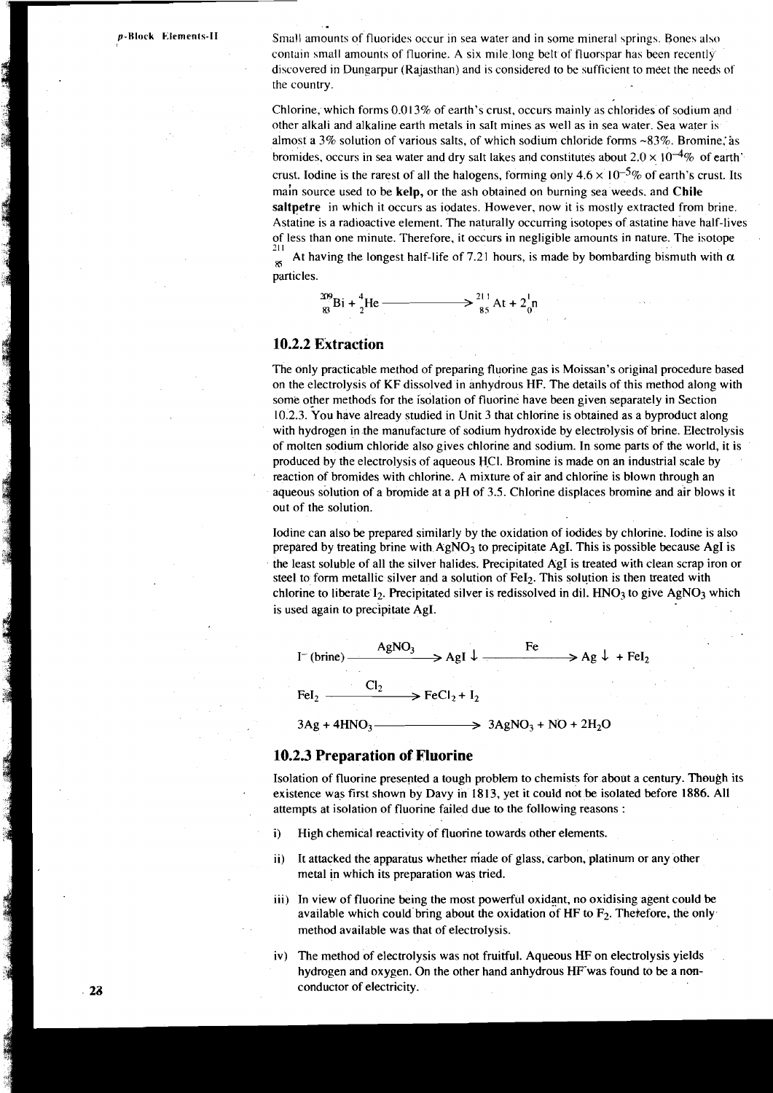**p-Block Elements-II** Small amounts of fluorides occur in sea water and in some mineral springs. Bones also contain small amounts of fluorine. A six mile long belt of fluorspar has been recently discovered in Dungarpur (Rajasthan) and is considered to be sufficient to meet the needs of the country

> Chlorine, which forms  $0.013%$  of earth's crust, occurs mainly as chlorides of sodium and other alkali and alkaline earth metals in saIt mines as well as in sea water. Sea water is almost a  $3\%$  solution of various salts, of which sodium chloride forms  $\sim 83\%$ . Bromine, as bromides, occurs in sea water and dry salt lakes and constitutes about  $2.0 \times 10^{-4}\%$  of earth' crust. Iodine is the rarest of all the halogens, forming only  $4.6 \times 10^{-5}\%$  of earth's crust. Its main source used to be **kelp,** or the ash obtained on burning sea weeds. and **Chile**  saltpetre in which it occurs as iodates. However, now it is mostly extracted from brine. Astatine is a radioactive element. The naturally occurring isotopes of astatine have half-lives of less than one minute. Therefore, it occurs in negligible amounts in nature. The isotope 21 1 **8**  At having the longest half-life of 7.21 hours, is made by bombarding bismuth with  $\alpha$ particles.



#### **10.2.2 Extraction**

The only practicable method of preparing fluorine gas is Moissan's original procedure based on the electrolysis of KF dissolved in anhydrous HF. The details of this method along with some other methods for the isolation of fluorine have been given separately in Section 10.2.3. You have already studied in Unit 3 that chlorine is obtained as a byproduct along with hydrogen in the manufacture of sodium hydroxide by electrolysis of brine. Electrolysis of molten sodium chloride also gives chlorine and sodium. In some parts of the world, it is produced by the electrolysis of aqueous HCI. Bromine is made on an industrial scale by reaction of bromides with chlorine. A mixture of air and chlorine is blown through an aqueous solution of a bromide at a pH of 3.5. Chlorine displaces bromine and air blows it out of the solution.

Iodine can also be prepared similarly by the oxidation of iodides by chlorine. Iodine is also prepared by treating brine with  $AgNO<sub>3</sub>$  to precipitate AgI. This is possible because AgI is the least soluble of all the silver halides. Precipitated AgI is treated with clean scrap iron or steel to form metallic silver and a solution of  $FeI<sub>2</sub>$ . This solution is then treated with chlorine to liberate  $I_2$ . Precipitated silver is redissolved in dil. HNO3 to give AgNO3 which is used again to precipitate AgI.



#### **10.2.3 Preparation of Fluorine**

Isolation of fluorine presented a tough problem to chemists for about a century. Though its existence was first shown by Davy in 1813, yet it could not be isolated before 1886. All attempts at isolation of fluorine failed due to the following reasons :

- i) High chemical reactivity of fluorine towards other elements.
- ii) It attacked the apparatus whether made of glass, carbon, platinum or any other metal in which its preparation was tried.
- 111) In view of fluorine being the most powerful oxidant, no oxidising agent could be available which could bring about the oxidation of HF to  $F_2$ . Therefore, the only method available was that of electrolysis.
- iv) The method of electrolysis was not fruitful. Aqueous HF on electrolysis yields hydrogen and oxygen. On the other hand anhydrous HF was found to be a nonconductor of electricity.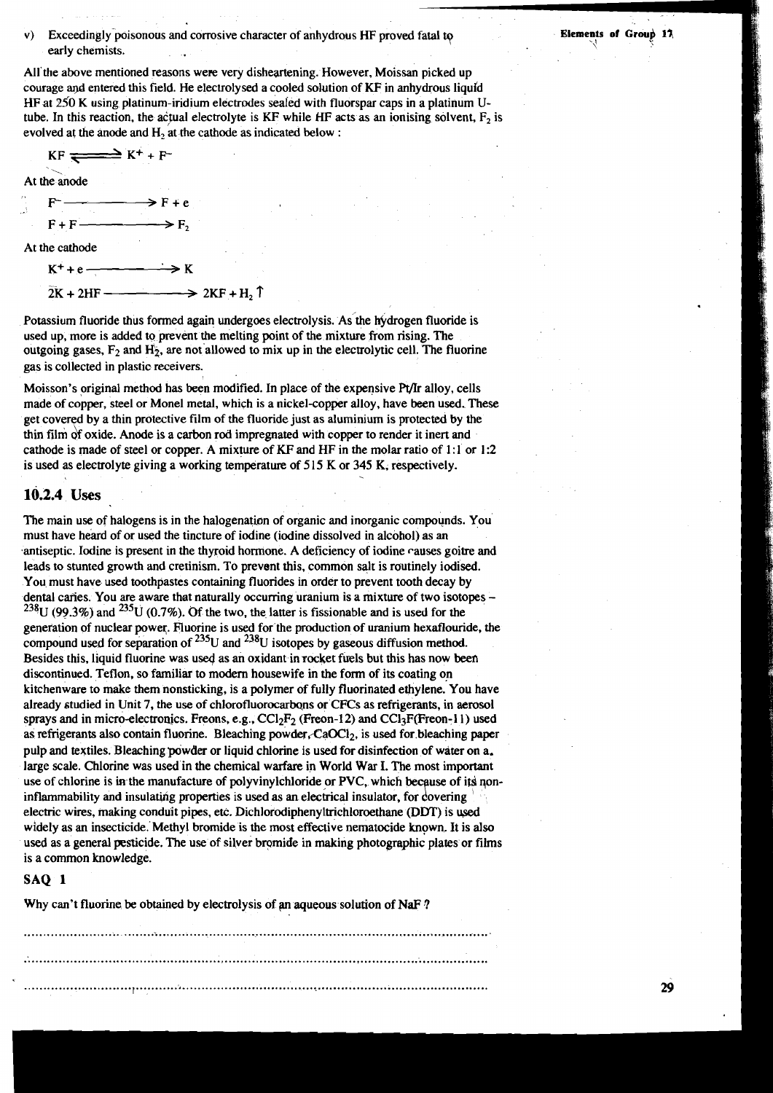#### **V)** Exceedingly poisonous and corrosive character of anhydrous HF proved fatal to early chemists.

All the above mentioned reasons were very disheartening. However, Moissan picked up courage and entered this field. He electrolysed a cooled solution of KF in anhydrous liquid HF at 250 K using platinum-iridium electrodes sealed with fluorspar caps in a platinum Utube. In this reaction, the actual electrolyte is KF while HF acts as an ionising solvent,  $F_2$  is evolved at the anode and H, at the cathode as indicated below :



 $2K + 2HF$   $\longrightarrow$   $2KF + H_2$ 

Potassium fluoride thus formed again undergoes electrolysis. As the hydrogen fluoride is used up, more is added to prevent the melting point of the mixture from rising. The outgoing gases,  $F_2$  and  $H_2$ , are not allowed to mix up in the electrolytic cell. The fluorine gas is collected in plastic receivers.

Moisson's original method has been modified. In place of the expensive Pr/Ir alloy, cells made of copper, steel or Monel metal, which is a nickel-copper alloy, have been used. These get covered by a thin protective film of the fluoride just as aluminium is protected by the thin film of oxide. Anode is a carbon rod impregnated with copper to render it inert and cathode is made of steel or copper. A mixture of KF and HF in the molar ratio of 1:1 or 1:2 is used as electrolyte giving a working temperature of 515 K or 345 K, respectively.

### **10.2.4 Uses**

The main use of halogens is in the halogenation of organic and inorganic compounds. You must have heard of or used the tincture of iodine (iodine dissolved in alcohol) as **an**  antiseptic. Iodine is present in the thyroid hormone. **A** deficiency of iodine causes goitre and leads to stunted growth and cretinism. To prevent this, common salt is routinely iodised. You must have used toothpastes containing fluorides in order to prevent tooth decay by dental caries. You are aware that naturally occurring uranium is a mixture of two isotopes - $^{238}$ U (99.3%) and  $^{235}$ U (0.7%). Of the two, the latter is fissionable and is used for the generation of nuclear power. Fluorine is used for the production of uranium hexaflouride, the compound used for separation of  $^{235}$ U and  $^{238}$ U isotopes by gaseous diffusion method. Besides this, liquid fluorine was used as an oxidant in rocket fuels but this has now been discontinued. Teflon, so familiar to modem housewife in the form of its coating on kitchenware to make them nonsticking, is a polymer of fully fluorinated ethylene, You have already studied in Unit 7, the use of chlorofluorocarbons or CFCs as refrigerants, in aerosol sprays and in micro-electronics. Freons, e.g., CCl<sub>2</sub>F<sub>2</sub> (Freon-12) and CCl<sub>3</sub>F(Freon-11) used as refrigerants also contain fluorine. Bleaching powder, CaOCl<sub>2</sub>, is used for bleaching paper pulp and textiles. Bleaching powder or liquid chlorine is used for disinfection **of** water on a. large scale. Chlorine was used in the chemical warfare in World War I. The most important use of chlorine is in the manufacture of polyvinylchloride or PVC, which because of its noninflammability and insulating properties is used as an electrical insulator, for covering electric wires, making conduit pipes, etc. Dichlorodiphenyltrichloroethane **(DDT)** is wed widely as an insecticide. Methyl bromide is the most effective nernatocide known, It is also used as a general pesticide. The use of silver bromide in making photographic plates or films is a common knowledge.

#### **SAQ 1**

Why can't fluorine be obtained by electrolysis of an aqueous solution of NaF?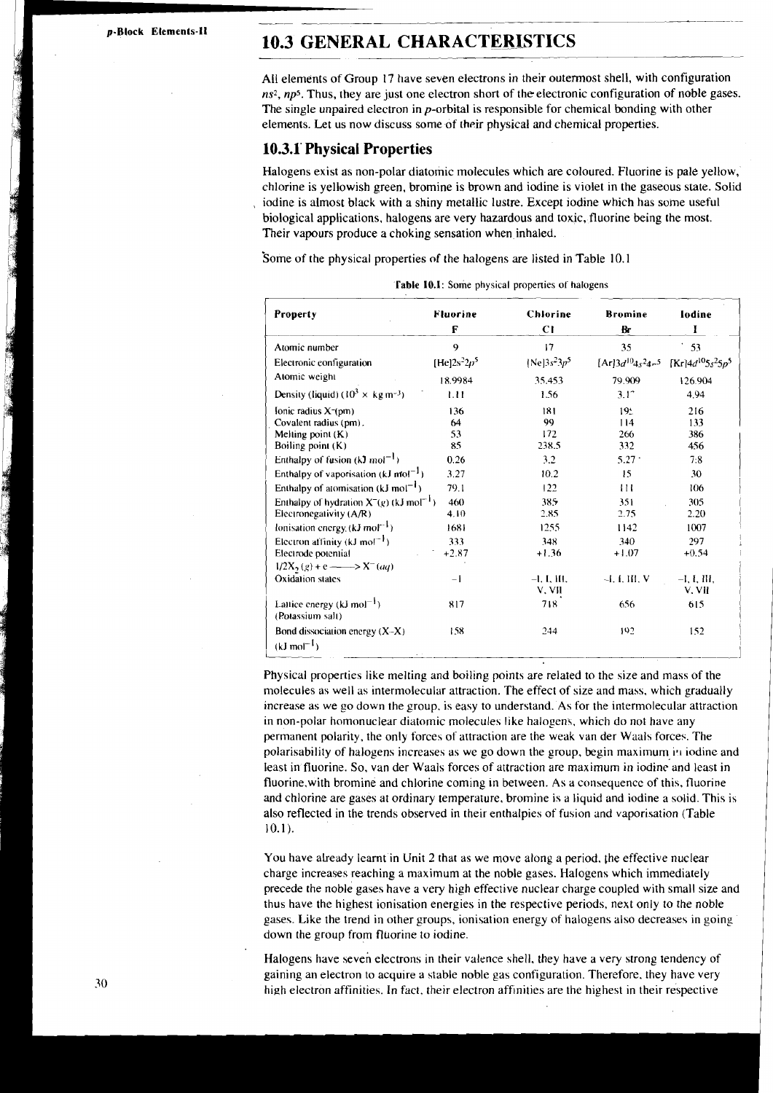**p-Block Elements-11** 

# --- - . -- - - - - - **10.3 GENERAL CHARACTERISTICS**

All elements of Group 17 have seven electrons in their outermost shell, with configuration ns<sup>2</sup>, np<sup>5</sup>. Thus, they are just one electron short of the electronic configuration of noble gases. The single unpaired electron in p-orbital is responsible for chemical bonding with other elements. Let us now discuss some of their physical and chemical properties.

#### **10.3.1' Physical Properties**

Halogens exist as non-polar diatomic molecules which are coloured. Fluorine is pale yellow,' chlorine is yellowish green. bromine is brown and iodine is violet in the gaseous state. Solid iodine is almost black with a shiny metallic lustre. Except iodine which has some useful biological applications, halogens are very hazardous and toxic, fluorine being the most. Their vapours produce a choking sensation when inhaled.

Some of the physical properties of the halogens are listed in Table 10.1

| <b>Property</b>                                             | <b>Fluorine</b><br>F | <b>Chlorine</b><br><b>CI</b> | <b>Bromine</b><br>Br | lodine<br>I                                                                                                  |
|-------------------------------------------------------------|----------------------|------------------------------|----------------------|--------------------------------------------------------------------------------------------------------------|
| Atomic number                                               | 9                    | 17                           | 35                   | 53                                                                                                           |
| Electronic configuration                                    | [He] $2s^22p^5$      | [Ne] $3s^23p^5$              |                      | $[Ar]$ 3d <sup>10</sup> 4s <sup>2</sup> 4r <sup>5</sup> [Kr]4d <sup>10</sup> 5s <sup>2</sup> 5p <sup>5</sup> |
| Atomic weight                                               | 18.9984              | 35.453                       | 79.909               | 126.904                                                                                                      |
| Density (liquid) ( $10^3 \times \text{kg m}^{-3}$ )         | 1.11                 | 1.56                         | $3.1^\circ$          | 4.94                                                                                                         |
| Ionic radius $X0$ m                                         | 136                  | 181                          | 19.1                 | 216                                                                                                          |
| Covalent radius (pm).                                       | 64                   | 99                           | 114                  | 133                                                                                                          |
| Melting point $(K)$                                         | 53                   | 172                          | 266                  | 386                                                                                                          |
| Boiling point $(K)$                                         | 85                   | 238.5                        | 332                  | 456                                                                                                          |
| Enthalpy of fusion (kJ mol <sup>-1</sup> )                  | 0.26                 | 3.2                          | 5.27                 | 7:8                                                                                                          |
| Enthalpy of vaporisation (kJ mol <sup>-1</sup> )            | 3.27                 | 10.2                         | 15                   | 30                                                                                                           |
| Enthalpy of atomisation (kJ mol <sup>-1</sup> )             | 79.1                 | 122                          | 111                  | 106                                                                                                          |
| Enthalpy of hydration $X^-(g)$ (kJ mol <sup>-1</sup> )      | 460                  | 385                          | 351                  | 305                                                                                                          |
| Electronegativity (A/R)                                     | 4.10                 | 2.85                         | 2.75                 | 2.20                                                                                                         |
| lonisation energy $(kJ \text{ mol}^{-1})$                   | 1681                 | 1255                         | 1142                 | 1007                                                                                                         |
| Electron affinity (kJ mol <sup>-1</sup> )                   | 333                  | 348                          | 340                  | 297                                                                                                          |
| Electrode potential                                         | $+2.87$              | $+1.36$                      | $+1.07$              | $+0.54$                                                                                                      |
| $1/2X_2(g) + e \longrightarrow X^{-}(aq)$                   |                      |                              |                      |                                                                                                              |
| Oxidation states                                            | $-1$                 | $-1, 1, 111,$<br>V. VII      | $-I. I. III. V$      | $-I$ , I, III.<br>V. VII                                                                                     |
| Lattice energy (kJ mol <sup>-1</sup> )<br>(Potassium salt)  | 817                  | 718                          | 656                  | 615                                                                                                          |
| Bond dissociation energy $(X-X)$<br>$(kJ \text{ mol}^{-1})$ | 158                  | 244                          | 192                  | 152                                                                                                          |
|                                                             |                      | $\bullet$                    |                      |                                                                                                              |

| Table 10.1: Some physical properties of halogens |  |  |
|--------------------------------------------------|--|--|
|--------------------------------------------------|--|--|

Physical properties like melting and boiling points are related to the size and mass of the molecules as well as intermolecular attraction. The effect of size and mass, which gradually increase as we go down the group. is easy to understand. As for the intermolecular attraction in non-polar homonuclear diatomic molecules like halogens. which do not have any permanent polarity, the only forces of attraction are the weak van der Waals forces. The polarisability of halogens increases as we go down the group, begin maximum **i.1** iodine and least in fluorine. So, van der Waals forces of attraction are maximum in iodine and least in fluorine,with bromine and chlorine coming in between. As a consequence of this, fluorine and chlorine are gases at ordinary temperature, bromine is a liquid and iodine a solid. This is also reflected in the trends observed in their enthalpies of fusion and vaporisation (Table 10.1 ).

You have already learnt in Unit 2 that as we move along a period. the effective nuclear charge increases reaching a maximum at the noble gases. Halogens which immediately precede the noble gases have a very high effective nuclear charge coupled with small size and thus have the highest ionisation energies in the respective periods, next only to the noble gases. Like the trend in other groups, ionisation energy of halogens also decreases in going down the group from fluorine to iodine.

Halogens have seven electrons in their valence shell, they have a very strong tendency of gaining an electron to acquire a stable noble gas configuration. Therefore. they have very high electron affinities. In fact, their electron affinities are the highest in their respective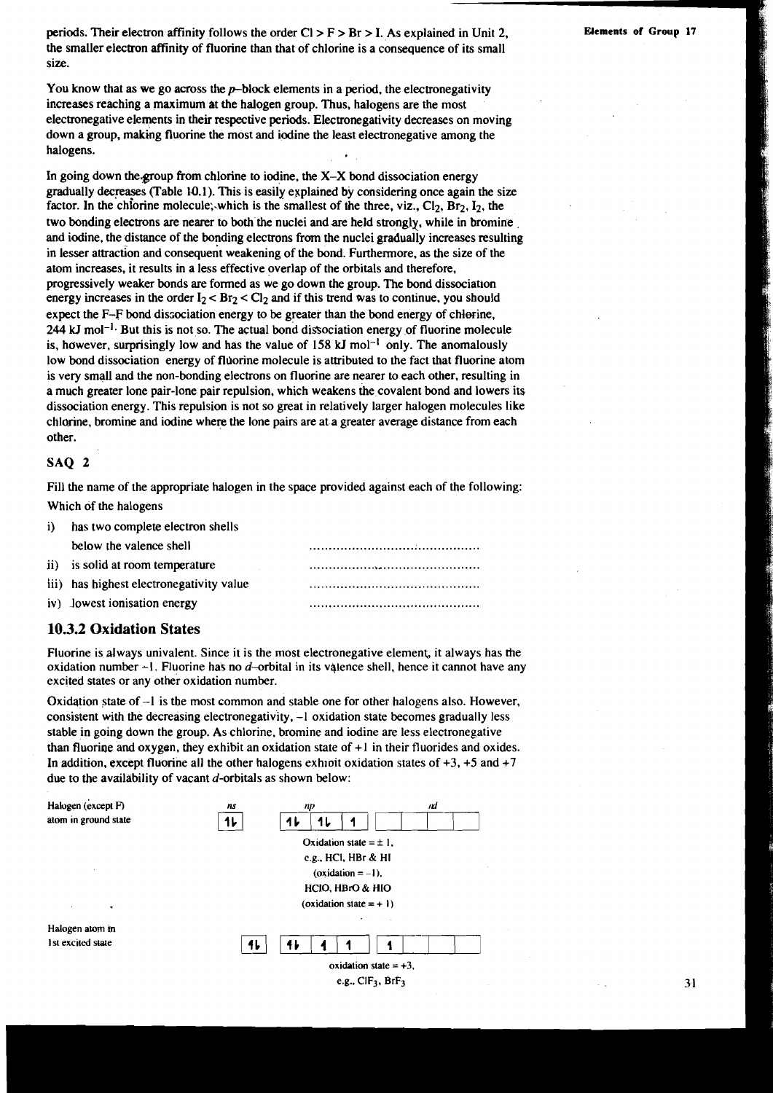periods. Their electron affinity follows the order  $Cl > F > Br > I$ . As explained in Unit 2, **Elements of Group 17** the smaller electron atrinity of fluorine than that of chlorine is a consequence of its small size.

You know that as we go across the  $p$ -block elements in a period, the electronegativity increases reaching a maximum at the halogen group. Thus, halogens are the most electronegative elements in their respective periods. Electronegativity decreases on moving down a group, making fluorine the most and iodine the least electronegative among the halogens.

In going down the group from chlorine to iodine, the  $X-X$  bond dissociation energy gradually decreases (Table 10.1). This is easily explained by considering once again the size factor. In the chlorine molecule; which is the smallest of the three, viz.,  $Cl_2$ ,  $Br_2$ ,  $I_2$ , the two bonding electrons are nearer to both the nuclei and are held strongly, while in bromine and iodine, the distance of the bonding electrons from the nuclei gradually increases resulting in lesser attraction and consequent weakening of the bond. Furthermore, as the size of the atom increases, it results in a less effective overlap of the orbitals and therefore, progressively weaker bonds are formed as we go down the group. The bond dissociation energy increases in the order  $I_2 < Br_2 < Cl_2$  and if this trend was to continue, you should expect the F-F bond dissociation energy to be greater than the bond energy of chlorine, 244 kJ mol<sup>-1</sup>. But this is not so. The actual bond dissociation energy of fluorine molecule is, however, surprisingly low and has the value of  $158 \text{ kJ}$  mol<sup>-1</sup> only. The anomalously low bond dissociation energy of fldorine molecule is attributed to the fact that fluorine atom is very small and the non-bonding electrons on fluorine are nearer to each other, resulting in a much greater lone pair-lone pair repulsion, which weakens the covalent bond and lowers its dissociation energy. This repulsion is not so great in relatively larger halogen molecules like chlorine, bromine and iodine where the lone pairs are at a greater average distance from each other.

#### SAQ 2

Fill the name of the appropriate halogen in the space provided against each of the following: Which of the halogens

| iY. | has two complete electron shells         |  |
|-----|------------------------------------------|--|
|     | below the valence shell                  |  |
|     | ii) is solid at room temperature         |  |
|     | iii) has highest electronegativity value |  |
|     | iv) lowest ionisation energy             |  |

#### **10.3.2 Oxidation States**

Fluorine is always univalent. Since it is the most electronegative element, it always has the oxidation number  $-1$ . Fluorine has no d-orbital in its valence shell, hence it cannot have any excited states or any other oxidation number.

Oxidation state of -1 is the most common and stable one for other halogens also. However, consistent with the decreasing electronegativity, -1 oxidation state becomes gradually less stable in going down the group. As chlorine, bromine and iodine are less electronegative than fluoring and oxygen, they exhibit an oxidation state of  $+1$  in their fluorides and oxides. In addition, except fluorine all the other halogens exhloit oxidation states of +3, **+5** and +7 due to the availability of vacant d-orbitals as shown below:



31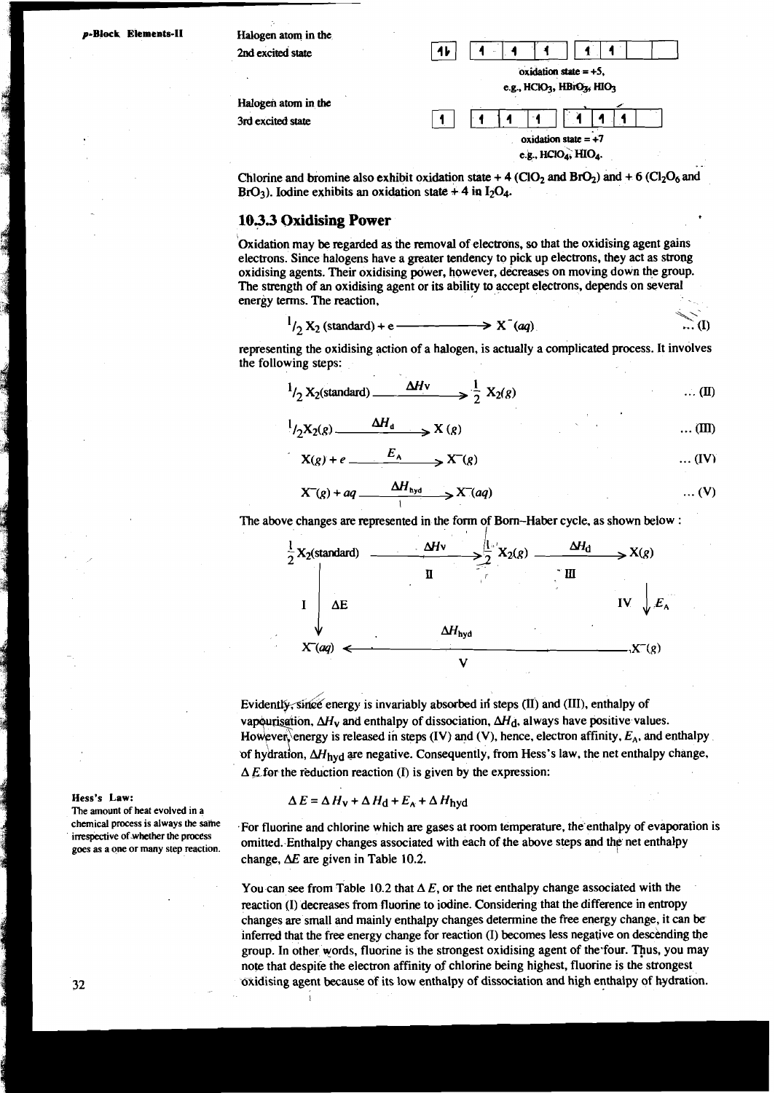p-Block Elements-II

**Halogen atom in the**   $2nd$  **excited state** 

**3rd excited state** 



Chlorine and bromine also exhibit oxidation state  $+$  4 (ClO<sub>2</sub> and BrO<sub>2</sub>) and  $+$  6 (Cl<sub>2</sub>O<sub>6</sub> and  $BrO_3$ ). Iodine exhibits an oxidation state +4 in  $I_2O_4$ .

#### **103.3 Oxidising Power**

Oxidation may be regarded as the removal of electrons, so that the oxidising agent gains electrons. Since halogens have a greater tendency to pick up electrons, they act as strong oxidising agents. Their oxidising power, however, decreases on moving down the group. The strength of an oxidising agent or its ability to accept electrons, depends on several energy terms. The reaction,

$$
1/2 X_2 \text{ (standard)} + e \longrightarrow X^-(aq) \qquad \qquad \dots (I)
$$

representing the oxidising action of a halogen, is actually a complicated process. It involves the following steps:

$$
1/2 X_2(\text{standard}) \longrightarrow \frac{\Delta Hv}{2 X_2(g)} \qquad \qquad \dots (II)
$$

$$
{}^{1}/2X_{2}(g) \xrightarrow{\Delta H_{d}} X(g) \qquad \qquad \dots (III)
$$

$$
X(g) + e \xrightarrow{E_A} X^-(g) \qquad \qquad \dots (IV)
$$

$$
X^-(g) + aq \xrightarrow{\Delta H_{\text{hyd}}} X^-(aq) \qquad \qquad \dots (V)
$$

The above changes **are** represented in the form of Born-Haber cycle, as shown below :



erorate in the state of the state of the state of the state of the state of the state of the state of the state the state of the state production of Evidently, enthalpy of the state measurement of the state  $\frac{1}{2}$ vapourisation,  $\Delta H_V$  and enthalpy of dissociation,  $\Delta H_d$ , always have positive values.<br>However, energy is released in steps (IV) and (V), hence, electron affinity,  $E_A$ , and enthalpy of hydration,  $\Delta H_{\text{hyd}}$  are negative. Consequently, from Hess's law, the net enthalpy change,  $\Delta E$  for the reduction reaction (I) is given by the expression:

$$
\Delta E = \Delta H_{\rm V} + \Delta H_{\rm d} + E_{\rm A} + \Delta H_{\rm hyd}
$$

.For fluorine and chlorine which **are** gases at room temperature, the'enthalpy of evaporation is omitted. Enthalpy changes associated with each of **the** above steps and the net enthalpy change,  $\Delta E$  are given in Table 10.2.

You can see from Table 10.2 that  $\Delta E$ , or the net enthalpy change associated with the reaction (I) decreases from fluorine to iodine. Considering that the difference in entropy changes **are** small and mainly enthalpy changes determine the free energy change, it can be inferred that the free energy change for reaction (I) becomes less negative on descending the group. In other words, fluorine is the strongest oxidising agent of the four. Thus, you may note that despite the electron affinity of chlorine being highest, fluorine is the strongest oxidising agent because of its low enthalpy of dissociation and high enthalpy of hydration.

**Hess's Law:**<br>The amount of he<br>chemical process<br>irrespective of wh<br>goes as a one or i **The amount of heat evolved in a chemical process is always the same irrespective ofwhether the process goes as a one or many step reaction.**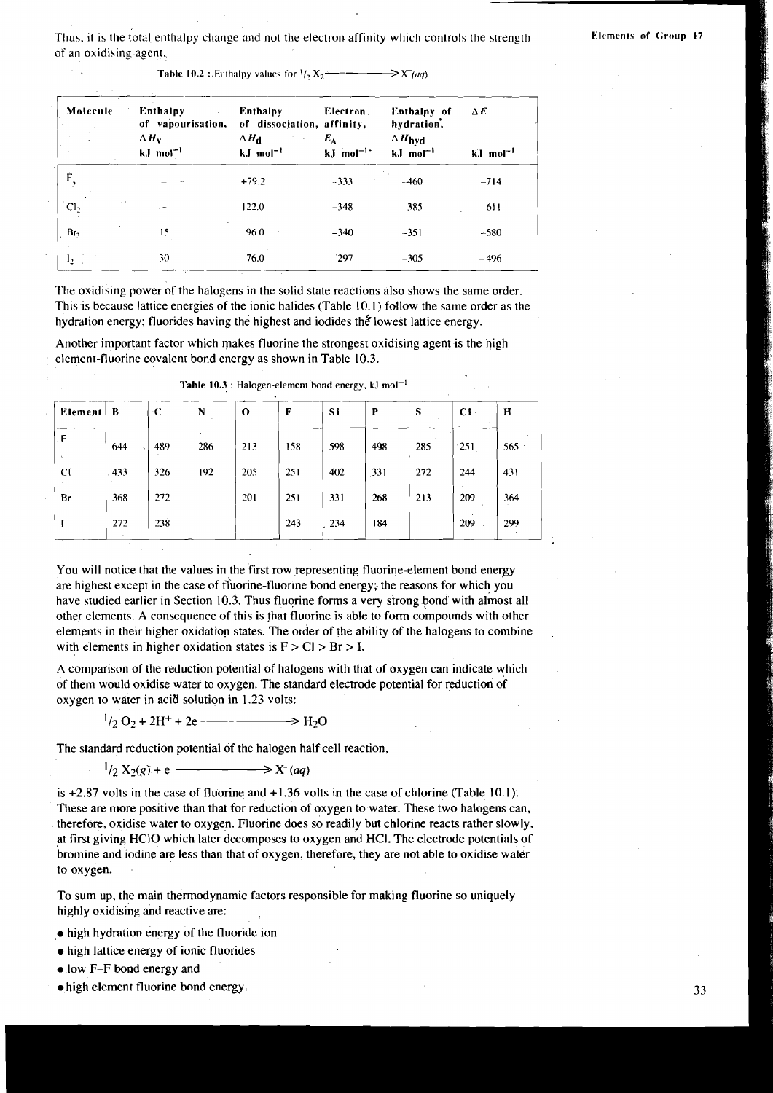Thus, it is the total enthalpy change and not the electron affinity which controls the strength of an oxidising agent,

**Table 10.2** : Enthalpy values for  $\frac{1}{2}$   $X_2 \rightarrow \rightarrow \rightarrow \rightarrow \rightarrow X(\mu q)$ 

| Molecule        | <b>Enthalpy</b><br>of vapourisation,<br>$\Delta H_{\rm v}$<br>$kJ$ mol <sup>-1</sup> | <b>Enthalpy</b><br>of dissociation, affinity,<br>$\Delta H_{\rm cl}$<br>$kJ$ mol <sup>-1</sup> | Electron<br>$E_{\rm A}$<br>$kJ$ mol <sup>-1</sup> | Enthalpy of<br>hydration,<br>$\Delta H_{\text{hyd}}$<br>$kJ$ mol <sup>-1</sup> | $\Delta E$<br>$kJ$ mol <sup>-1</sup> |
|-----------------|--------------------------------------------------------------------------------------|------------------------------------------------------------------------------------------------|---------------------------------------------------|--------------------------------------------------------------------------------|--------------------------------------|
| Ė               |                                                                                      | $+79.2$                                                                                        | $-333$                                            | $-460$                                                                         | $-714$                               |
| Cl <sub>2</sub> | .                                                                                    | 122.0                                                                                          | $-348$                                            | $-385$                                                                         | $-611$                               |
| Br <sub>2</sub> | 15                                                                                   | 96.0                                                                                           | $-340$                                            | $-351$                                                                         | $-580$                               |
| $I_2$           | 30                                                                                   | 76.0                                                                                           | $-297$                                            | $-305$                                                                         | $-496$                               |

This is because lattice energies of the ionic halides (Table 10.1) follow the same order as the hydration energy; fluorides having the highest and iodides the lowest lattice energy. The oxidising power of the halogens in the solid state reactions also shows the same order.

Another important factor which makes fluorine the strongest oxidising agent is the high element-fluorine covalent bond energy as shown in Table 10.3.

| Element     | B   | ∹C  | N   | $\mathbf{o}$ | F   | Si  | P   | S   | CI. | H             |
|-------------|-----|-----|-----|--------------|-----|-----|-----|-----|-----|---------------|
| F<br>$\sim$ | 644 | 489 | 286 | 213          | 158 | 598 | 498 | 285 | 251 | 565           |
| CÍ          | 433 | 326 | 192 | 205          | 251 | 402 | 331 | 272 | 244 | 431           |
| Br          | 368 | 272 |     | 201          | 251 | 331 | 268 | 213 | 209 | 364<br>$\sim$ |
|             | 272 | 238 |     |              | 243 | 234 | 184 |     | 209 | 299<br>$\sim$ |

Table 10.3 : Halogen-element bond energy,  $kJ \text{ mol}^{-1}$ 

You will notice that the values in the first row representing fluorine-element bond energy are highest except in the case of fluorine-fluorine bond energy; the reasons for which you have studied earlier in Section 10.3. Thus fluorine forms a very strong bond with almost all other elements. A consequence of this is that fluorine is ableto form compounds with other elements in their higher oxidation states. The order of the ability of the halogens to combine with elements in higher oxidation states is  $F > Cl > Br > I$ .

A comparison of the reduction potential of halogens with that of oxygen can indicate which of them would oxidise water to oxygen. The standard electrode potential for reduction of oxygen to water in acid solution in 1.23 volts:

 $^{1}/2$  O<sub>2</sub> + 2H<sup>+</sup> + 2e ———————> H<sub>2</sub>O

The standard reduction potential of the halogen half cell reaction,

 $\frac{1}{2}$  X<sub>2</sub>(g) + e  $\longrightarrow$  X<sup>-</sup>(aq)

is  $+2.87$  volts in the case of fluorine and  $+1.36$  volts in the case of chlorine (Table 10.1). These are more positive than that for reduction of oxygen to water. These two halogens can. therefore, oxidise water to oxygen. Fluorine does so readily but chlorine reacts rather slowly, at first giving HClO which later decomposes to oxygen and HCl. The electrode potentials of bromine and iodine are less than that of oxygen, therefore, they are not able to oxidise water to oxygen.

To sum up, the main thermodynamic factors responsible for making fluorine so uniquely highly oxidising and reactive are:

- high hydration energy of the fluoride ion
- high lattice energy of ionic fluorides

. .

- low F-F bond energy and
- high element fluorine bond energy.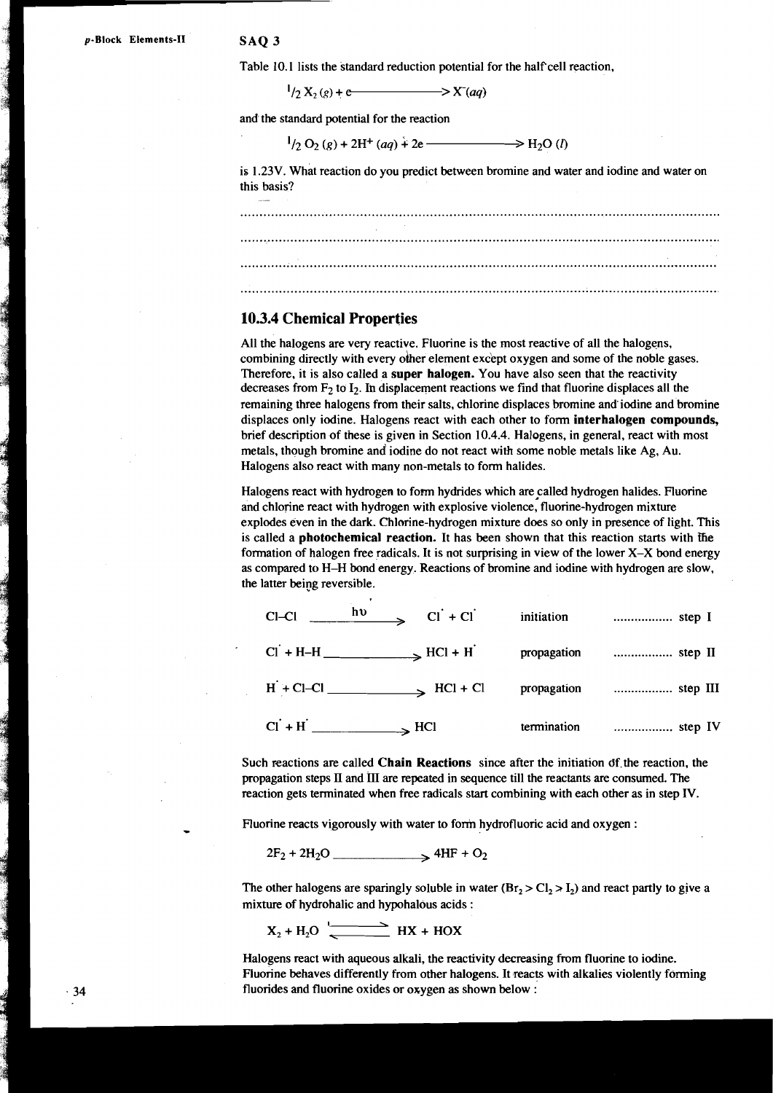Table 10.1 lists the standard reduction potential for the half cell reaction,

 $\frac{1}{2}$   $\left(\frac{1}{2} X_2(g) + e \right)$   $\longrightarrow$   $X^-(aq)$ 

and the standard potential for the reaction

$$
{}^{1}/2 O_2(g) + 2H^+(aq) + 2e \longrightarrow H_2O(l)
$$

is 1.23V. what reaction do you predict between bromine and water and iodine and water on this basis?

..... ............................................................................................................................ ............................................................................................................................ ........................................................................................................................... ...........................................................................................................................

#### **10.3.4 Chemical Properties**

All the halogens are very reactive. Fluorine is the most reactive of all the halogens, combining directly with every other element except oxygen and some of the noble gases. Therefore, it is also called a **super halogen.** You have also seen that the reactivity decreases from  $F_2$  to  $I_2$ . In displacement reactions we find that fluorine displaces all the remaining three halogens from their salts, chlorine displaces bromine and'iodine and bromine displaces only iodine. Halogens react with each other to form **interhalogen compounds**, brief description of these is given in Section 10.4.4. Halogens, in general, react with most metals, though bromine and iodine do not react with some noble metals like Ag, Au. Halogens also react with many non-metals to form halides. **H** solution the standard reduction potential for the half cell reaction,<br>  $^{1}$ /2 X<sub>5</sub> (e)  $+$ <br>  $^{1}$ /2 (y) (g) +  $^{2}$ H<sup>+</sup> (aoy) + 2e  $^{1}$ <br>  $^{1}$ /2 (y) (g) + 2H<sup>+</sup> (aoy) + 2e  $^{1}$ <br>  $^{1}$ /2 (y) (g) + 2H<sup>+</sup> (aoy) + 2e

Halogens react with hydrogen to form hydrides which are called hydrogen halides. Fluorine and chlorine react with hydrogen with explosive violence, fluorine-hydrogen mixture explodes even in the dark. Chlorine-hydrogen mixture does so only in presence of light. This is called a **photochemical reaction.** It has been shown that this reaction starts with the formation of halogen free radicals. It is not surprising in view of the lower X-X bond energy as compared to H-H bond energy. Reactions of bromine and iodine with hydrogen are slow, the latter being reversible.

| hυ<br>$C1-C1$ | $CI + CI$             | initiation  | step I                                       |  |
|---------------|-----------------------|-------------|----------------------------------------------|--|
|               | $\rightarrow$ HCl + H | propagation | step II                                      |  |
| $H + CI - CI$ | $-C1 + C1$            | propagation | $\ldots$ $\ldots$ $\ldots$ $\ldots$ step III |  |
| $CI + H$      | $\rightarrow$ HCl     | termination | step IV                                      |  |

Such reactions are called **Chain Reactions** since after the initiation df.the reaction, the propagation steps **II** and **III** are repeated in sequence till the reactants are consumed. The reaction gets terminated when free radicals start combining with each other as in step **IV.** 

Fluorine reacts vigorously with water to form hydrofluoric acid and oxygen :

 $2F_2 + 2H_2O$   $\longrightarrow$  4HF + O<sub>2</sub>

The other halogens are sparingly soluble in water  $(Br_2 > C_1 > I_2)$  and react partly to give a mixture of hydrohalic and hypohalous acids :

 $X_2 + H_2O$   $\longrightarrow$  HX + HOX

Halogens react with aqueous alkali, the reactivity decreasing from fluorine to iodine. Fluorine behaves differently from other halogens. It reacts with alkalies violently forming fluorides and fluorine oxides or oxygen as shown below :

 $-34$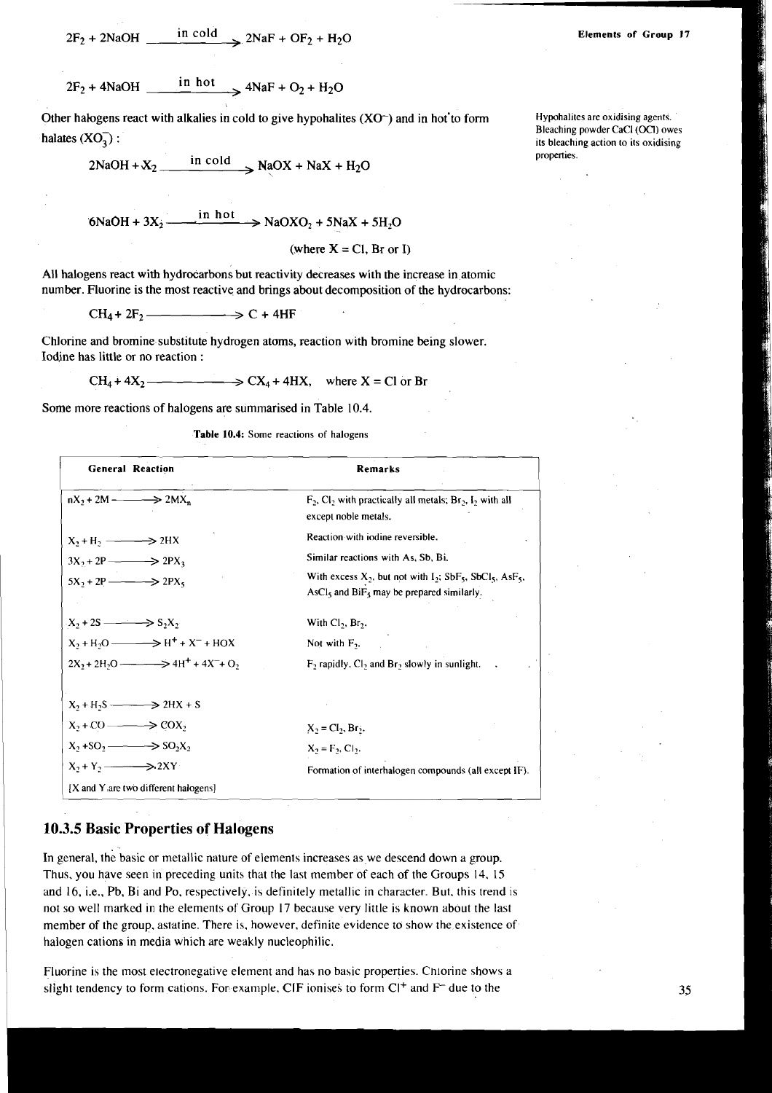$2F_2 + 2NaOH$  in cold  $2NaF + OF_2 + H_2O$ 

 $2F_2 + 4NaOH$  in hot  $4NaF + O_2 + H_2O$ 

Other halogens react with alkalies in cold to give hypohalites  $(XO<sup>-</sup>)$  and in hot to form halates  $(XO_2)$ :

 $2NaOH + X_2$  in cold  $NaOX + NaX + H_2O$ 

6NaOH +  $3X_2$   $\longrightarrow$   $\frac{\text{in hot}}{\text{hot}}$   $\rightarrow$  NaOXO<sub>2</sub> + 5NaX + 5H<sub>2</sub>O

(where  $X = Cl$ , Br or I)

All halogens react with hydrocarbons but reactivity decreases with the increase in atomic number. Fluorine is the most reactive and brings about decomposition of the hydrocarbons:

 $CH_4 + 2F_2$  \_\_\_\_\_\_\_\_\_\_  $\Rightarrow$  C + 4HF

Chlorine and bromine substitute hydrogen atoms, reaction with bromine being slower. Iodine has little or no reaction :

 $CH_4 + 4X_2$  ———————>  $CX_4 + 4HX$ , where  $X = Cl$  or Br

Some more reactions of halogens are summarised in Table 10.4.

Table 10.4: Some reactions of halogens

| <b>General Reaction</b>                          | Remarks                                                                                                                                                               |
|--------------------------------------------------|-----------------------------------------------------------------------------------------------------------------------------------------------------------------------|
| $nX_2 + 2M \longrightarrow 2MX_n$                | $F_2$ , Cl <sub>2</sub> with practically all metals; Br <sub>2</sub> , I <sub>2</sub> with all<br>except noble metals.                                                |
| $X_2 + H_2 \longrightarrow 2HX$                  | Reaction with iodine reversible.                                                                                                                                      |
| $3X_2 + 2P \longrightarrow 2PX_3$                | Similar reactions with As, Sb, Bi.                                                                                                                                    |
| $5X_2 + 2P \longrightarrow 2PX_5$                | With excess $X_2$ , but not with $I_2$ ; SbF <sub>5</sub> , SbCl <sub>5</sub> , AsF <sub>5</sub> ,<br>AsCl <sub>s</sub> and $\text{BiF}_5$ may be prepared similarly. |
| $X_2 + 2S \longrightarrow S_2X_2$                | With $Cl_2$ , $Br_2$ .                                                                                                                                                |
| $X_2 + H_2O \longrightarrow H^+ + X^- + HOX$     | Not with $F_3$ .                                                                                                                                                      |
| $2X_2 + 2H_2O \longrightarrow 4H^+ + 4X^- + O_2$ | $F_2$ rapidly, $Cl_2$ and $Br_2$ slowly in sunlight.                                                                                                                  |
| $X_2 + H_2S \longrightarrow 2HX + S$             |                                                                                                                                                                       |
| $X_2 + CO \longrightarrow COX_2$                 | $X_2 = CI_2, Br_2.$                                                                                                                                                   |
| $X_2 + SO_2 \longrightarrow SO_2X_2$             | $X_2 = F_2, C_2.$                                                                                                                                                     |
| $X_2 + Y_2 \longrightarrow 2XY$                  | Formation of interhalogen compounds (all except IF).                                                                                                                  |
| [X and Y are two different halogens]             |                                                                                                                                                                       |

### 10.3.5 Basic Properties of Halogens

In general, the basic or metallic nature of elements increases as we descend down a group. Thus, you have seen in preceding units that the last member of each of the Groups 14, 15 and 16, i.e., Pb, Bi and Po, respectively, is definitely metallic in character. But, this trend is not so well marked in the elements of Group 17 because very little is known about the last member of the group, astatine. There is, however, definite evidence to show the existence of halogen cations in media which are weakly nucleophilic.

Fluorine is the most electronegative element and has no basic properties. Chlorine shows a slight tendency to form cations. For example, CIF ionises to form C<sup>++</sup> and F<sup>-+</sup> due to the

**Elements of Group 17** 

Hypohalites are oxidising agents. Bleaching powder CaCl (OCl) owes its bleaching action to its oxidising properties.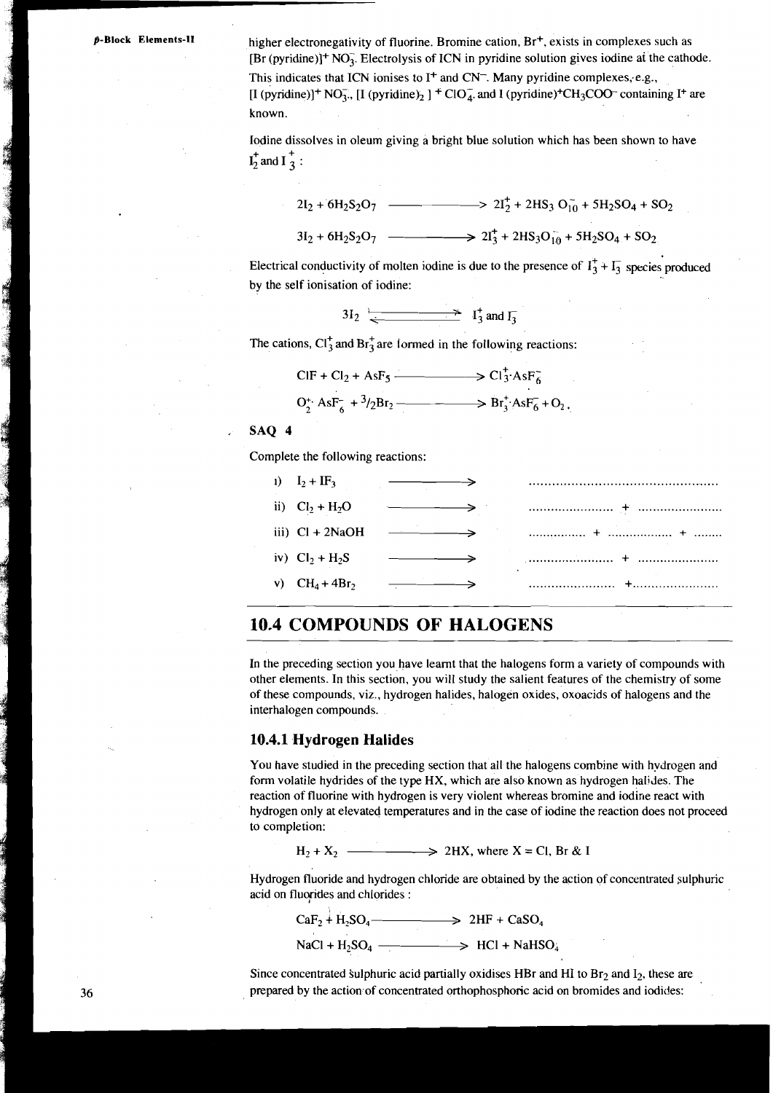**ACTES** 

higher electronegativity of fluorine. Bromine cation, Br<sup>+</sup>, exists in complexes such as  $[Br (pyridine)]^+ NO_3$ . Electrolysis of ICN in pyridine solution gives iodine at the cathode. This indicates that ICN ionises to I<sup>+</sup> and CN<sup>-</sup>. Many pyridine complexes, e.g., [I (pyridine)]<sup>+</sup> NO<sub>3</sub>., [I (pyridine)<sub>2</sub>]<sup>+</sup> ClO<sub>4</sub>. and I (pyridine)<sup>+</sup>CH<sub>3</sub>COO<sup>-</sup> containing I<sup>+</sup> are known.

Iodine dissolves in oleum giving a bright blue solution which has been shown to have  $I_2^+$  and  $I_3^+$  :

$$
2I_2 + 6H_2S_2O_7 \longrightarrow 2I_2^+ + 2HS_3O_{10}^- + 5H_2SO_4 + SO_2
$$

 $3I_2 + 6H_2S_2O_7$   $\longrightarrow$   $2I_3^+ + 2HS_3O_{10}^- + 5H_2SO_4 + SO_2$ 

Electrical conductivity of molten iodine is due to the presence of  $I_3^+ + I_3^-$  species produced by the self ionisation of iodine:

$$
3I_2 \xrightarrow{\longleftarrow} I_3^+ \text{ and } I_3^-
$$

The cations,  $Cl_3^+$  and  $Br_3^+$  are formed in the following reactions:

$$
\text{ClF} + \text{Cl}_2 + \text{AsF}_5 \longrightarrow \text{Cl}_3^+ \text{AsF}_6^-
$$

$$
O_2^*
$$
 AsF<sub>6</sub><sup>-</sup> + <sup>3</sup>/<sub>2</sub>Br<sub>2</sub>— $\longrightarrow$  Br<sub>3</sub> AsF<sub>6</sub><sup>-</sup> + O<sub>2</sub>.

#### SAO 4

Complete the following reactions:

| 1) $I_2 + IF_3$   |                                                                                  |
|-------------------|----------------------------------------------------------------------------------|
| ii) $Cl_2 + H_2O$ |                                                                                  |
| iii) $Cl + 2NaOH$ |                                                                                  |
| iv) $Cl_2 + H_2S$ |                                                                                  |
| v) $CH_4 + 4Br_2$ | $\ldots \ldots \ldots \ldots \ldots \ldots + \ldots \ldots \ldots \ldots \ldots$ |

### **10.4 COMPOUNDS OF HALOGENS**

In the preceding section you have learnt that the halogens form a variety of compounds with other elements. In this section, you will study the salient features of the chemistry of some of these compounds, viz., hydrogen halides, halogen oxides, oxoacids of halogens and the interhalogen compounds.

#### 10.4.1 **Hydrogen Halides**

You have studied in the preceding section that all the halogens combine with hydrogen and form volatile hydrides of the type HX, which are also known as hydrogen halides. The reaction of fluorine with hydrogen is very violent whereas bromine and iodine react with hydrogen only at elevated temperatures and in the case of iodine the reaction does not proceed to completion:

 $H_2 + X_2$   $\longrightarrow$  2HX, where X = Cl, Br & I

Hydrogen fluoride and hydrogen chloride are obtained by the action of concentrated aulphuric acid on fluorides and chlorides :

 $CaF_2$  + H<sub>2</sub>SO<sub>4</sub>  $\longrightarrow$  2HF + CaSO<sub>4</sub>

 $NaCl + H<sub>2</sub>SO<sub>4</sub>$   $\longrightarrow$  HCl + NaHSO<sub>4</sub>

Since concentrated sulphuric acid partially oxidises HBr and HI to  $Br<sub>2</sub>$  and  $I<sub>2</sub>$ , these are prepared by the action of concentrated orthophosphoric acid on bromides and iodides: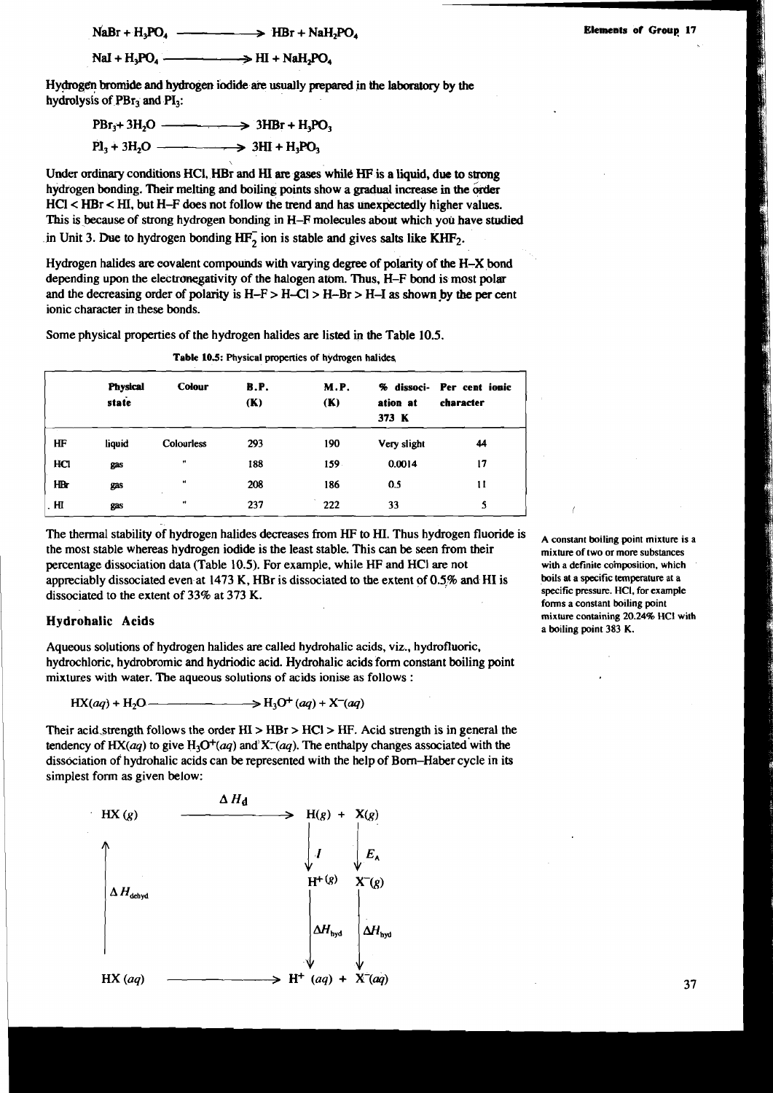$$
Nal + H_3PO_4 \longrightarrow HI + NaH_2PO_4
$$

NaBr + H<sub>3</sub>PO<sub>4</sub>  $\longrightarrow$  HBr + NaH<sub>2</sub>PO<sub>4</sub> Elements of Group 17<br>NaI + H<sub>3</sub>PO<sub>4</sub>  $\longrightarrow$  HI + NaH<sub>2</sub>PO<sub>4</sub>  $\longrightarrow$  HI + NaH<sub>2</sub>PO<sub>4</sub>  $\longrightarrow$  Min bromide and hydrogen iodide are usually prepared in the laboratory by the Hy@gc!n **bromide** and hydrogen iodide are usually **prepared** in the laboratory by the hydrolysis of  $PBr<sub>3</sub>$  and  $PI<sub>3</sub>$ :

$$
PBr3+3H2O \longrightarrow 3HBr + H3PO3
$$
  

$$
Pl3+3H2O \longrightarrow 3HI + H3PO3
$$

 $\mathbf{v}$ 

Under ordinary conditions HCI, HBr and HI are gases while HF is a liquid, due to strong hydrogen bonding. Their melting and boiling points show a gradual increase in the order HCl < HBr < **HI,** but H-F does not follow the trend and has unexpectedly higher values. This is because of strong hydrogen bonding in H-F molecules about which you have studied in Unit 3. Due to hydrogen bonding  $HF_2$  ion is stable and gives salts like  $KHF_2$ .

Hydrogen halides are eovalent compounds with varying degree of polarity of the H-X bond depending upon the electronegativity of the halogen atom. Thus, H-F bond is most polar and the decreasing order of polarity is  $H-F > H-CI > H-Br > H-I$  as shown by the per cent ionic character in these bonds.

**Table 10.5: Physical properties of hydrogen halides** 

Some physical properties of the hydrogen halides **are** listed in the Table 10.5.

|      | <b>Physical</b><br>state | <b>Colour</b>     | <b>B.P.</b><br>(K) | <b>M.P.</b><br>(K) | ation at<br>373 K | % dissoci- Per cent ionic<br>character |
|------|--------------------------|-------------------|--------------------|--------------------|-------------------|----------------------------------------|
| HF   | liquid                   | <b>Colourless</b> | 293                | 190                | Very slight       | 44                                     |
| HCI  | gas                      | $\bullet\bullet$  | 188                | 159                | 0.0014            | 17                                     |
| HB   | gas                      | $\bullet\bullet$  | 208                | 186                | 0.5               | 11                                     |
| . HI | gas                      | $\bullet\bullet$  | 237                | 222                | 33                | 5                                      |

The thermal stability of hydrogen halides decreases from HF to HI. Thus hydrogen fluoride is A constant boiling point mixture is a the most stable whereas hydrogen iodide is the least stable. This can be seen from their **mixture of two or more substances**  percentage dissociation data (Table 10.5). For example, while HF and HC1 **are** not **with a definite composition, which**  appreciably dissociated even at 1473 K, HBr is dissociated to the extent of 0.5% and HI is boils at a specific temperature at a<br>dissociated to the extent of 23% of 273 K dissociated to the extent of 33% at 373 K.

Aqueous solutions of hydrogen halides **are** called hydrohalic acids, viz., hydrofluoric. hydrochloric, hydrobromic and hydriodic acid. Hydrohalic acids form constant boiling point mixtures with water. The aqueous solutions of acids ionise as follows :

$$
HX(aq) + H_2O \longrightarrow H_3O^+(aq) + X^-(aq)
$$

Their acid, strength follows the order  $HI > HBr > HCl > HF$ . Acid strength is in general the tendency of HX(aq) to give  $H_3O^+(aq)$  and  $X^-(aq)$ . The enthalpy changes associated with the dissociation of hydrohalic acids can be represented with the help of Born-Haber cycle in its simplest form as given below:



**forms a constant boiling point**  Hydrohalic Acids **mixture containing 20.24% HCI with**  a boiling point 383 K.

1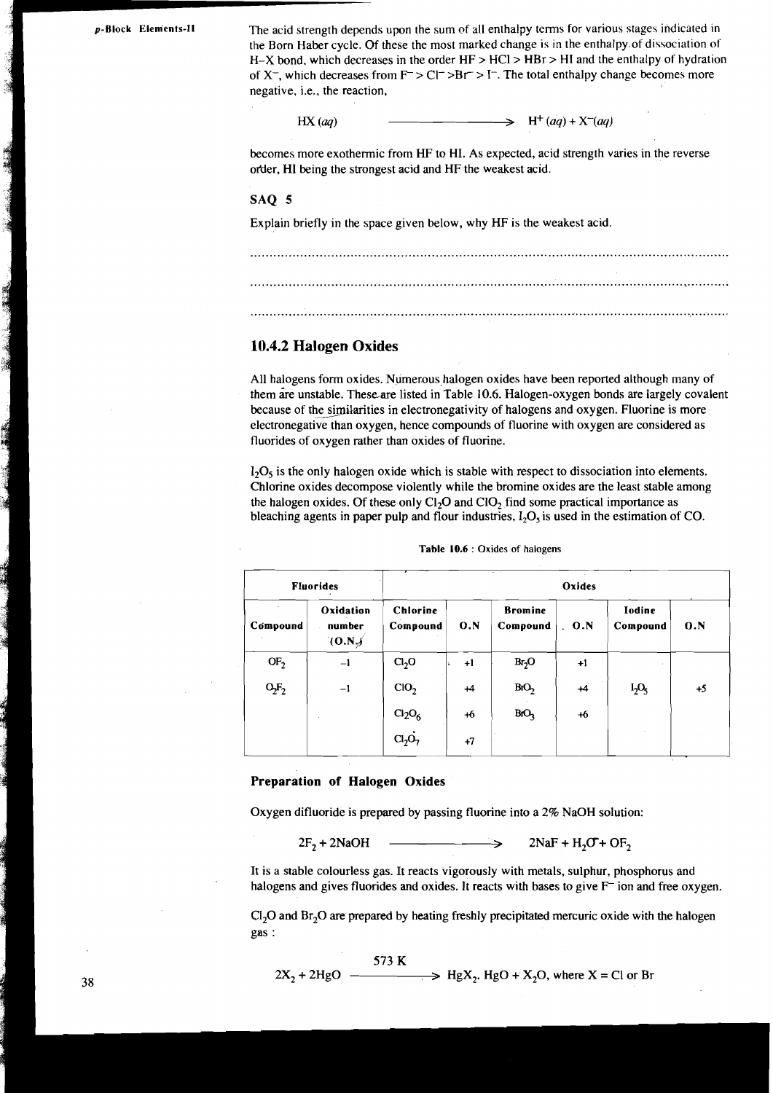**p-Block Elements-11** The acid strength depends upon the sum of all enthalpy terms for various stages indicated in the Born Haber cycle. Of these the most marked change is in the enthalpy.of dissociation of H-X bond, which decreases in the order HF > HCl > HBr > HI and the enthalpy of hydration of **X-,** which decreases from F <sup>&</sup>gt;Cl- >Br > I-. The total enthalpy change becomes more negative, i.e., the reaction,

> $HX (aq)$  $H^+(aq) + X^-(aq)$

becomes more exothermic from HF to HI. As expected, acid strength varies in the reverse or'der, HI being the strongest acid and HF the weakest acid.

#### SAQ **5**

Explain briefly in the space given below, why HF is the weakest acid.

#### **10.4.2 Halogen Oxides**

All halogens form oxides. Numerous halogen oxides have been reported although many of them are unstable. These are listed in Table 10.6. Halogen-oxygen bonds are largely covalent because of the similarities in electronegativity of halogens and oxygen. Fluorine is more electronegative than oxygen, hence compounds of fluorine with oxygen are considered as fluorides of oxygen rather than oxides of fluorine.

 $I_2O_5$  is the only halogen oxide which is stable with respect to dissociation into elements. Chlorine oxides decompose violently while the bromine oxides are the least stable among the halogen oxides. Of these only  $Cl<sub>2</sub>O$  and  $Cl<sub>2</sub>O$  find some practical importance as bleaching agents in paper pulp and flour industries,  $I_2O_5$  is used in the estimation of CO.

|                 | <b>Fluorides</b>                                                                                            | Oxides                         |      |                                                             |        |                           |      |  |  |
|-----------------|-------------------------------------------------------------------------------------------------------------|--------------------------------|------|-------------------------------------------------------------|--------|---------------------------|------|--|--|
| Compound        | Oxidation<br>number<br>(0.N)                                                                                | <b>Chlorine</b><br>Compound    | O.N  | <b>Bromine</b><br>Compound                                  | . 0. N | <b>Iodine</b><br>Compound | 0.N  |  |  |
| OF <sub>2</sub> | $-1$                                                                                                        | Cl <sub>2</sub> O              | $+1$ | Br <sub>2</sub> O                                           | $+1$   |                           |      |  |  |
| $O_2F_2$        | $-1$                                                                                                        | CIO <sub>2</sub>               | $+4$ | BO <sub>2</sub>                                             | $+4$   | $I_2O_5$                  | $+5$ |  |  |
|                 |                                                                                                             | Cl <sub>2</sub> O <sub>6</sub> | $+6$ | BfO <sub>3</sub>                                            | $+6$   |                           |      |  |  |
|                 |                                                                                                             | Cl <sub>2</sub> O <sub>7</sub> | $+7$ |                                                             |        |                           |      |  |  |
|                 | Preparation of Halogen Oxides<br>Oxygen difluoride is prepared by passing fluorine into a 2% NaOH solution: |                                |      |                                                             |        |                           |      |  |  |
|                 | $2F_2 + 2NaOH$                                                                                              |                                |      | $\longrightarrow$ 2NaF + H <sub>2</sub> O + OF <sub>2</sub> |        |                           |      |  |  |

#### **Table 10.6** : Oxides of halogens

#### **Preparation of Halogen Oxides**

 $C1<sub>2</sub>O$  and Br<sub>2</sub>O are prepared by heating freshly precipitated mercuric oxide with the halogen gas :

$$
2X_2 + 2HgO
$$
  
 
$$
2X_2 + 2HgO
$$
 
$$
-2HgX_2 + 2HgO + 2HgX_2.
$$
 HgO + X<sub>2</sub>O, where X = Cl or Br

 $\mathbf{r}$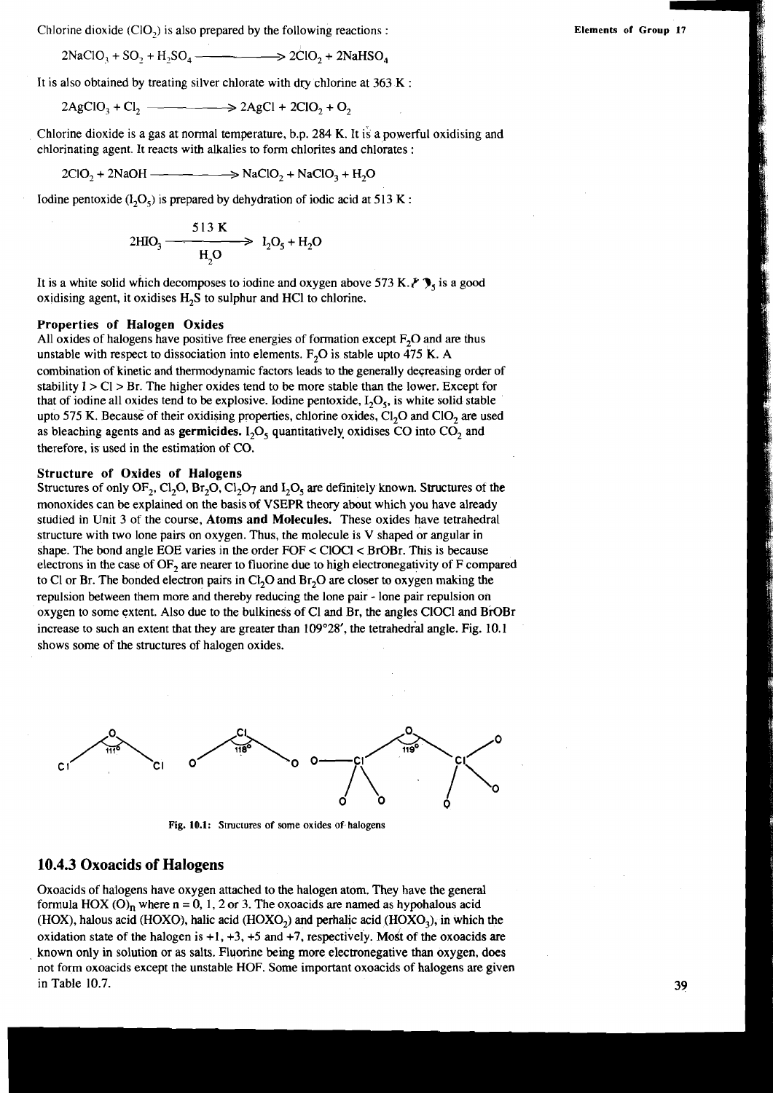Chlorine dioxide  $(CIO<sub>2</sub>)$  is also prepared by the following reactions :

$$
2NaClO_3 + SO_2 + H_2SO_4 \longrightarrow 2ClO_2 + 2NaHSO_4
$$

It is also obtained by treating silver chlorate with dry chlorine at  $363 \text{ K}$ :

$$
2AgClO3 + Cl2 \longrightarrow 2AgCl + 2ClO2 + O2
$$

Chlorine dioxide is a gas at normal temperature, b.p. 284 K. It is a powerful oxidising and chlorinating agent. It reacts with alkalies to form chlorites and chlorates :

$$
2ClO2 + 2NaOH
$$

Iodine pentoxide  $(1, O<sub>5</sub>)$  is prepared by dehydration of iodic acid at 513 K :

$$
2HIO_3 \xrightarrow{\qquad \qquad 513 \text{ K}} \qquad \qquad I_2O_5 + H_2O
$$

It is a white solid which decomposes to iodine and oxygen above 573 *K.Y* **7,** is a good oxidising agent, it oxidises H<sub>2</sub>S to sulphur and HCl to chlorine.

#### **Properties of Halogen Oxides**

All oxides of halogens have positive free energies of formation except  $F_2O$  and are thus unstable with respect to dissociation into elements. F<sub>2</sub>O is stable upto  $\overline{475}$  K. A combination of kinetic and thermodynamic factors leads to the generally deqreasing order of stability  $I > Cl > Br$ . The higher oxides tend to be more stable than the lower. Except for that of iodine all oxides tend to be explosive. Iodine pentoxide,  $I_2O_5$ , is white solid stable upto 575 K. Because of their oxidising properties, chlorine oxides,  $Cl<sub>2</sub>O$  and  $Cl<sub>O</sub>$  are used as bleaching agents and as **germicides.** I<sub>2</sub>O<sub>5</sub> quantitatively oxidises CO into CO<sub>2</sub> and therefore, is used in the estimation of CO.

#### **Structure of Oxides of Halogens**

Structures of only OF<sub>2</sub>, Cl<sub>2</sub>O<sub>1</sub>, Br<sub>2</sub>O<sub>2</sub>, Cl<sub>2</sub>O<sub>7</sub> and  $I_2O_5$  are definitely known. Structures of the monoxides can be explained on the basis **of** VSEPR theory about which you have already studied in Unit 3 of the course, **Atoms and Molecules.** These oxides have tetrahedral structure with two lone pairs on oxygen. Thus, the molecule is V shaped or angular in shape. The bond angle EOE varies in the order FOF < ClOCl< BrOBr. This is because electrons in the case of OF, are nearer to fluorine due to high electronegativity of F compared to C1 or Br. The bonded electron pairs in  $\text{Cl}_2\text{O}$  and  $\text{Br}_2\text{O}$  are closer to oxygen making the repulsion between them more and thereby reducing the lone pair - lone pair repulsion on oxygen to some extent. Also due to the bulkiness of C1 and Br, the angles ClOCl and BrOBr increase to such an extent that they are greater than  $109^{\circ}28'$ , the tetrahedral angle. Fig. 10.1 shows some of the structures of halogen oxides.



**Fig. 10.1: Structures of some oxides of halogens** 

#### **10.4.3 Oxoacids of Halogens**

Oxoacids of halogens have oxygen attached to the halogen atom. They have the general formula HOX  $(O)$ <sub>n</sub> where  $n = 0, 1, 2$  or 3. The oxoacids are named as hypohalous acid (HOX), halous acid (HOXO), halic acid (HOXO<sub>2</sub>) and perhalic acid (HOXO<sub>3</sub>), in which the oxidation state of the halogen is  $+1$ ,  $+3$ ,  $+5$  and  $+7$ , respectively. Most of the oxoacids are known only in solution or as salts. Fluorine being more electronegative than oxygen, does not form oxoacids except the unstable HOF. Some important oxoacids of halogens are given in Table 10.7.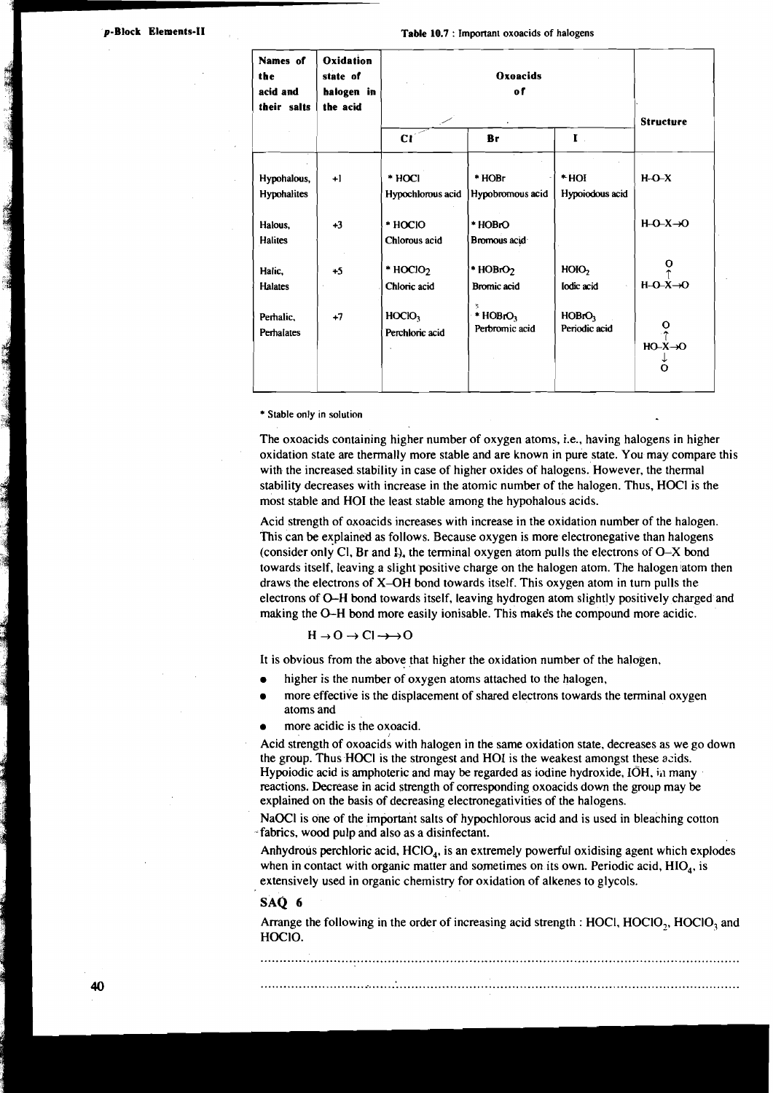| p-Block Elements-II<br>$\mathbf{r} = \mathbf{r}$ |                                            |                                                 |                                        | Table 10.7 : Important oxoacids of halogens |                                     |                                                          |
|--------------------------------------------------|--------------------------------------------|-------------------------------------------------|----------------------------------------|---------------------------------------------|-------------------------------------|----------------------------------------------------------|
|                                                  | Names of<br>the<br>acid and<br>their salts | Oxidation<br>state of<br>halogen in<br>the acid | Oxoacids<br><sub>of</sub>              |                                             |                                     | <b>Structure</b>                                         |
|                                                  |                                            |                                                 | CI                                     | Br                                          | $\mathbf{I}$ .                      |                                                          |
|                                                  | Hypohalous,<br>Hypohalites                 | $+1$                                            | * HOCI<br>Hypochlorous acid            | * HOBr<br>Hypobromous acid                  | $*HOI$<br>Hypoiodous acid           | $H-O-X$                                                  |
|                                                  | Halous,<br><b>Halites</b>                  | $+3$                                            | * HOCIO<br>Chlorous acid               | * HOBrO<br>Bromous acid                     |                                     | $H-O-X \rightarrow O$                                    |
|                                                  | Halic.<br><b>Halates</b>                   | $+5$                                            | $*$ HOClO <sub>2</sub><br>Chloric acid | * HOBrO <sub>2</sub><br>Bromic acid         | H O <sub>1</sub><br>lodic acid      | $\frac{0}{\uparrow}$<br>$H-O-X\rightarrow O$             |
|                                                  | Perhalic,<br>Perhalates                    | $+7$                                            | HOCIO <sub>3</sub><br>Perchloric acid  | Ã<br>$* HOBrO3$<br>Perbromic acid           | HOBrO <sub>3</sub><br>Periodic acid | $\frac{0}{\tau}$<br>$HO-X\rightarrow O$<br>↓<br>$\Omega$ |

\* **Stable only in solution** 

The oxoacids containing higher number of oxygen atoms, i.e., having halogens in higher oxidation state are thermally more stable and are known in pure state. You may compare this with the increased. stability in case of higher oxides of halogens. However, the thermal stability decreases with increase in the atomic number of the halogen. Thus, HOCl is the most stable and HOI the least stable among the hypohalous acids.

Acid strength of axoacids increases with increase in the oxidation number of the halogen. This can be explained as follows. Because oxygen is more electronegative than halogens (consider only Cl, Br and *I*), the terminal oxygen atom pulls the electrons of O-X bond towards itself, leaving a slight positive charge on the halogen atom. The halogen atom then draws the electrons of X-OH bond towards itself. This oxygen atom in turn pulls the electrons of 0-H bond towards itself, leaving hydrogen atom slightly positively charged and making the 0-H bond more easily ionisable. This makes the compound more acidic.

$$
H \to O \to Cl \to \to O
$$

It is obvious from the above that higher the oxidation number of the halogen,

- higher is the number of oxygen atoms attached to the halogen,
- more effective is the displacement of shared electrons towards the terminal oxygen atoms and

more acidic is the oxoacid.

Acid strength of oxoacid; with halogen in the same oxidation state, decreases as we go down the group. Thus HOCI is the strongest and HOI is the weakest amongst these acids. Hypoiodic acid is amphoteric and may be regarded as iodine hydroxide, IOH, *in* many reactions. Decrease in acid strength of corresponding oxoacids down the group may be explained on the basis of decreasing electronegativities of the halogens.

NaOCl is one of the important salts of hypochlorous acid and is used in bleaching cotton -fabrics, wood pulp and also as a disinfectant.

Anhydrous perchloric acid,  $HClO<sub>4</sub>$ , is an extremely powerful oxidising agent which explodes when in contact with organic matter and sometimes on its own. Periodic acid,  $HIO<sub>A</sub>$ , is extensively used in organic chemistry for oxidation of alkenes to glycols.

#### SAQ 6

Arrange the following in the order of increasing acid strength : HOCl, HOClO<sub>3</sub>, HOClO<sub>2</sub> and HOCIO.

.............................................................................................................................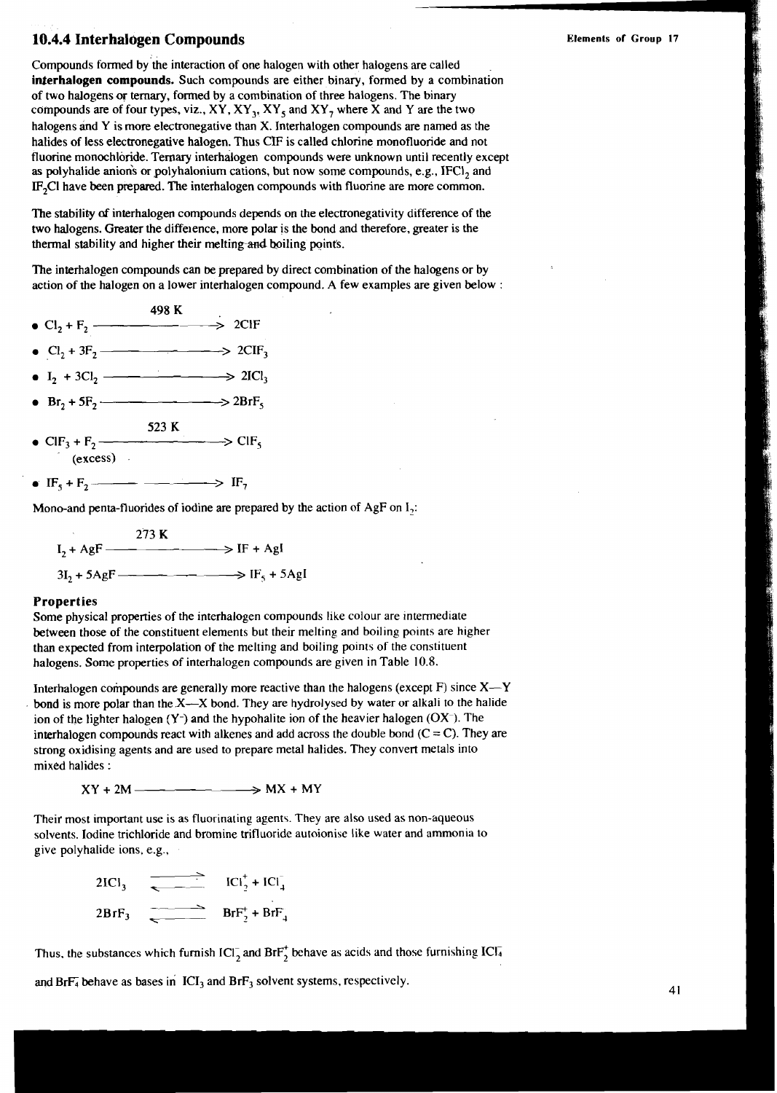### **10.4.4 Interhalogen Compounds** *Elements of Group 17* **<b>***Elements of Group 17*

Compounds formed by the interaction of one halogen with other halogens are called **interhalogen compounds.** Such compounds are either binary, formed by a combination of two halogens or ternary, formed by a combination of three halogens. The binary compounds are of four types, viz., **XY, XY,, XY,** and **XY,** where **X** and **Y** are the two halogens ind **Y** is more electronegative than **X.** Interhalogen compounds are named as the halides of less electtonegative halogen. Thus **CE** is called chlorine monofluoride and not fluorine monochloride. Ternary interhalogen compounds were unknown until recently except as polyhalide anions or polyhalonium cations, but now some compounds, e.g., IFCI, and IF<sub>2</sub>CI have been prepared. The interhalogen compounds with fluorine are more common.

The stability of interhalogen compounds depends on the electronegativity difference of the two halogens. Greater the diffeience, more polar is the bond and therefore, greater is the thermal stability and higher their melting and boiling points.

The interhalogen compounds can **be** prepared by direct combination of the halogens or by action of the halogen on a lower interhalogen compound. A few examples are given below :

- 498 K •  $Cl_2 + F_2$   $\longrightarrow$  2CIF
- 
- 
- $\bullet$  Br<sub>2</sub> + 5F<sub>2</sub>  $\longrightarrow$  2BrF<sub>s</sub>
- **523 K**   $\begin{array}{ccc}\n\text{C1}_2 + 3\text{C1}_2 &\longrightarrow & \text{2}\n\end{array}$ <br>  $\begin{array}{ccc}\n\text{Br}_2 + 5\text{F}_2 &\longrightarrow & \text{2}\n\end{array}$ <br>  $\begin{array}{ccc}\n\text{Br}_3 + \text{F}_2 &\longrightarrow & \text{C1}\n\end{array}$ <br>  $\begin{array}{ccc}\n\text{F}_5 + \text{F}_2 &\longrightarrow & \text{IF}_7\n\end{array}$ <br>  $\begin{array}{ccc}\n\text{ono-and penta-fluoides of iodine are pre-$
- 

Mono-and penta-fluorides of iodine are prepared by the action of AgF on I,:

$$
I_2 + AgF
$$
  
\n
$$
3I_2 + 5AgF
$$
  
\n
$$
3I_2 + 5AgF
$$
  
\n
$$
II_5 + 5AgF
$$
  
\n
$$
IF_5 + 5AgF
$$

#### **Properties**

Some physical properties of the interhalogen compounds like colour are intermediate between those of the constituent elements but their melting and boiling points are higher than expected from interpolation of the melting and boiling points of the constituent halogens. Some properties of interhalogen compounds are given in Table 10.8.

Interhalogen compounds are generally more reactive than the halogens (except  $F$ ) since  $X - Y$ bond is more polar than the X--X bond. They are hydrolysed by water or alkali to the halide ion of the lighter halogen **(Y-)** and the hypohalite ion of the heavier halogen (OX-). The interhalogen compounds react with alkenes and add across the double bond  $(C = C)$ . They are strong oxidising agents and are used to prepare metal halides. They convert metals into mixed halides :

 $XY + 2M$   $\longrightarrow$   $MX + MY$ 

Theit most important use is as fluorinating agents. They are also used as non-aqueous solvents. Iodine trichloride and bromine trifluoride autoionise like water and ammonia to give polyhalide ions, e.g.,

2ICl<sub>3</sub>  $ICl_2^+ + ICl_4^-$ <br>2BrF<sub>3</sub>  $BrF_2^+ + BrF_4^-$ 

Thus, the substances which furnish  $ICl_2^-$  and  $Br_2^+$  behave as acids and those furnishing  $ICl_4^-$ 

and Br $F_4$  behave as bases in ICI<sub>3</sub> and Br $F_3$  solvent systems, respectively.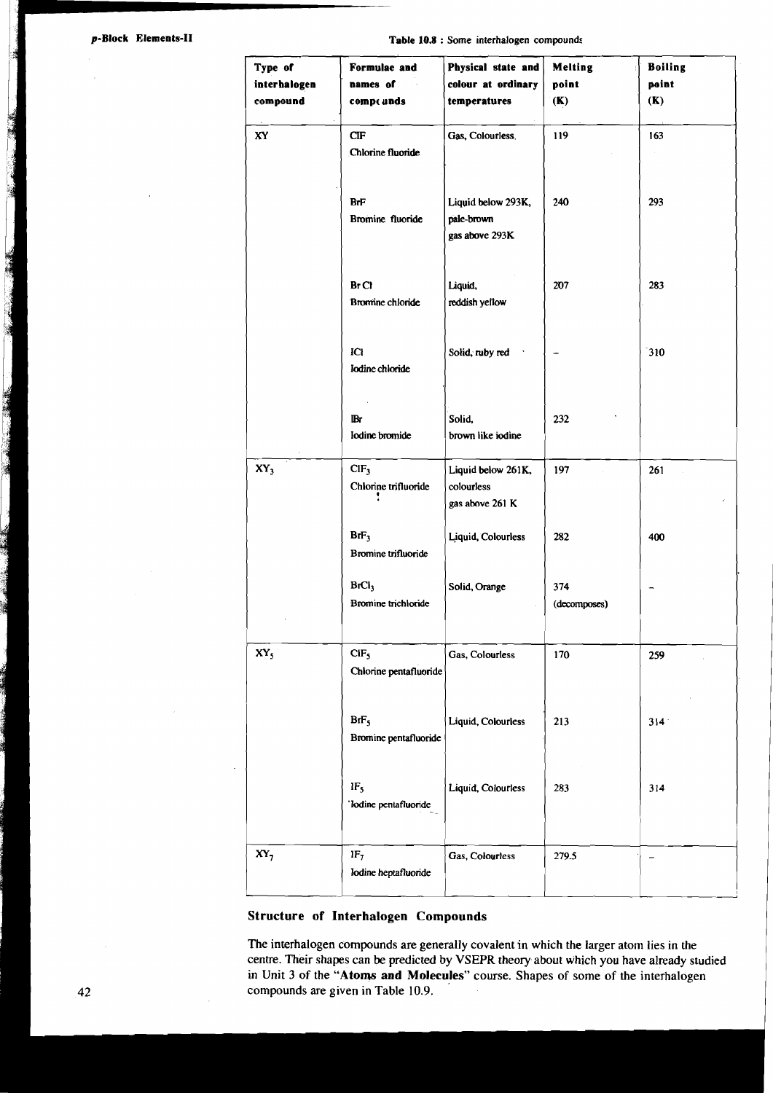The Commission of the Commission

The Company of the Second Property

**Table <sup>108</sup>**: **Some interhalogen compounds** 

| Type of         | Formulae and                               | Physical state and                                  | <b>Melting</b>      | <b>Boiling</b> |
|-----------------|--------------------------------------------|-----------------------------------------------------|---------------------|----------------|
| interhalogen    | names of                                   | colour at ordinary                                  | point               | point          |
| compound        | compt unds                                 | temperatures                                        | (K)                 | (K)            |
| XY              | CIF<br>Chlorine fluoride                   | Gas, Colourless.                                    | 119                 | 163            |
|                 | <b>BrF</b><br>Bromine fluoride             | Liquid below 293K,<br>pale-brown<br>gas above 293K  | 240                 | 293            |
|                 | Br C1<br><b>Bromine</b> chloride           | Liquid,<br>reddish yellow                           | 207                 | 283            |
|                 | Ю<br>Iodine chloride                       | Solid, ruby red                                     |                     | 310            |
|                 | IB۲<br>Iodine bromide                      | Solid.<br>brown like iodine                         | 232                 |                |
| $XY_3$          | CIF <sub>3</sub><br>Chlorine trifluoride   | Liquid below 261K,<br>colourless<br>gas above 261 K | 197                 | 261            |
|                 | BrF <sub>3</sub><br>Bromine trifluoride    | Liquid, Colourless                                  | 282                 | 400            |
|                 | BrCl <sub>3</sub><br>Bromine trichloride   | Solid, Orange                                       | 374<br>(decomposes) |                |
| XY <sub>5</sub> | CIF <sub>5</sub><br>Chlorine pentafluoride | Gas, Colourless                                     | 170                 | 259            |
|                 | BrF <sub>5</sub><br>Bromine pentafluoride  | Liquid, Colourless                                  | 213                 | 314            |
|                 | $1F_5$<br>'Iodine pentafluoride            | Liquid, Colourless                                  | 283                 | 314            |
| $XY_7$          | $1F_7$<br>Iodine heptafluonde              | Gas, Colourless                                     | 279.5               |                |

#### Structure of Interhalogen Compounds

The interhalogen compounds are generally covalent in which the larger atom lies in the centre. Their shapes can be predicted by VSEPR theory about which you have already studied in Unit 3 of the "Atoms and Molecules" course. Shapes of some of the interhalogen compounds are given in Table 10.9.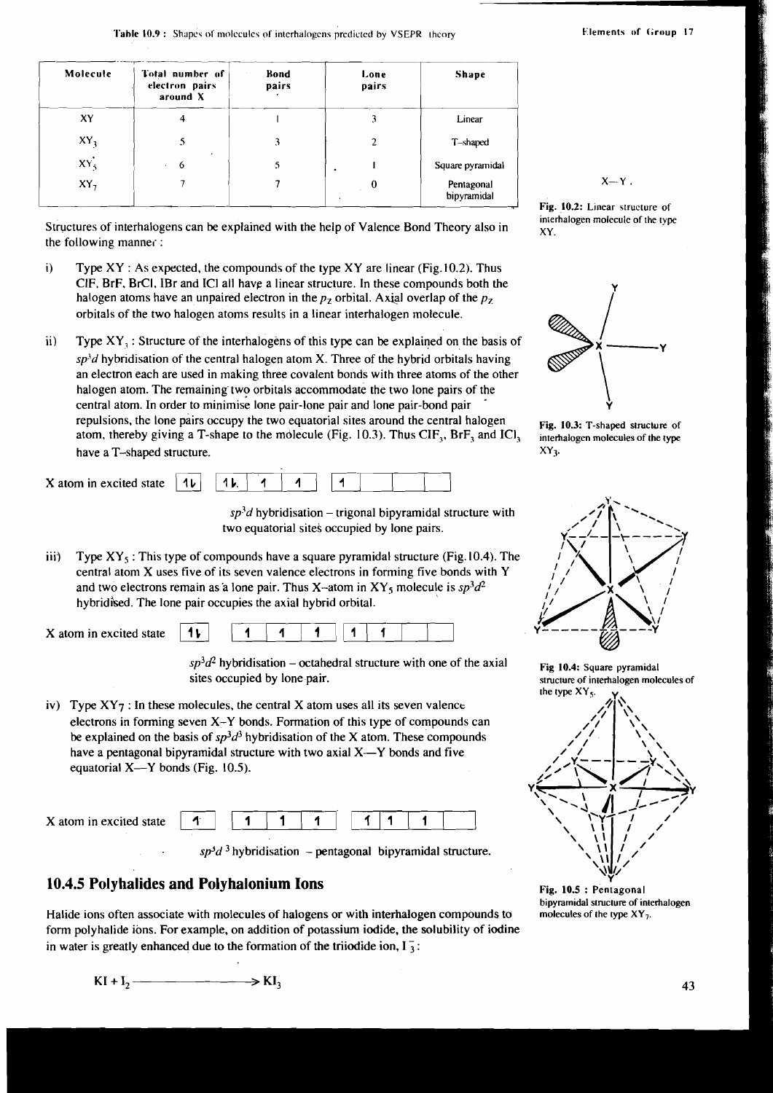| Molecule | Total number of<br>electron pairs<br>around X | <b>Bond</b><br>pairs | Lone<br>pairs | Shape                     |
|----------|-----------------------------------------------|----------------------|---------------|---------------------------|
| XY       |                                               |                      | 3             | Linear                    |
| $XY_3$   |                                               |                      | 2             | T-shaped                  |
| $XY_{5}$ | 6                                             |                      |               | Square pyramidal          |
| XY,      |                                               |                      | 0             | Pentagonal<br>bipyramidal |

**interhalogen molecule of the type interhalogens can be explained with the help of Valence Bond Theory also in**  $\frac{1}{xy}$  **interhalogen molecule of the type** the following mannei :

- i) Type XY : As expected, the compounds of the type XY are linear (Fig. 10.2). Thus CIF, BrF, BrCI, IBr and ICI all have a linear structure. In these compounds both the halogen atoms have an unpaired electron in the *pz* orbital. Axial overlap of the *pz*  orbitals of the two halogen atoms results in a linear interhalogen molecule.
- $\mathbf{ii}$ Type  $XY_1$ : Structure of the interhalogens of this type can be explained on the basis of  $sp<sup>3</sup>d$  hybridisation of the central halogen atom X. Three of the hybrid orbitals having an electron each are used in making three covalent bonds with three atoms of the other halogen atom. The remaining two orbitals accommodate the two lone pairs of the central atom. In order to minimise lone pair-lone pair and lone pair-bond pair repulsions, the lone pairs occupy the two equatorial sites around the central halogen **Fig. 10.3:** T-shaped structure of atom, thereby giving a T-shape to the molecule (Fig. 10.3). Thus CIF<sub>3</sub>, BrF<sub>3</sub> and ICl<sub>3</sub> interhalo atom, thereby giving a T-shape to the molecule (Fig. 10.3). Thus CIF<sub>3</sub>, BrF<sub>3</sub> and ICl<sub>3</sub> have a T-shaped structure.  $XY_3$ .

|  | X atom in excited state $\begin{bmatrix} 1 \ \mathbf{b} \end{bmatrix}$ $\begin{bmatrix} 1 \ \mathbf{b} \end{bmatrix}$ $\begin{bmatrix} 1 \ \mathbf{c} \end{bmatrix}$ $\begin{bmatrix} 1 \ \mathbf{d} \end{bmatrix}$ $\begin{bmatrix} 1 \ \mathbf{d} \end{bmatrix}$ |
|--|--------------------------------------------------------------------------------------------------------------------------------------------------------------------------------------------------------------------------------------------------------------------|

 $sp<sup>3</sup>d$  hybridisation – trigonal bipyramidal structure with two equatorial sites occupied by lone pairs.

iii) Type XY<sub>5</sub>: This type of compounds have a square pyramidal structure (Fig. 10.4). The central atom X uses five of its seven valence electrons in forming five bonds with Y and two electrons remain as a lone pair. Thus X-atom in XY<sub>s</sub> molecule is  $sp^3d^2$ hybridised. The lone pair occupies the axial hybrid orbital.

X atom in excited state ( **1** ( **1** , **1** 1 **f** <sup>1</sup>

 $sp<sup>3</sup>d<sup>2</sup>$  hybridisation – octahedral structure with one of the axial **Fig 10.4:** Square pyramidal sites occupied by lone pair.

iv) Type  $XY7$ : In these molecules, the central X atom uses all its seven valence electrons in forming seven X-Y bonds. Formation of this type of compounds can be explained on the basis of  $sp^3d^3$  hybridisation of the X atom. These compounds have a pentagonal bipyramidal structure with two axial  $X-Y$  bonds and five equatorial  $X$ — $Y$  bonds (Fig. 10.5).

| equatorial $X$ — $Y$ bonds (Fig. 10.5).                        |  |  |  |  |  |
|----------------------------------------------------------------|--|--|--|--|--|
| X atom in excited state $\begin{vmatrix} 1 \\ 1 \end{vmatrix}$ |  |  |  |  |  |

 $sp<sup>3</sup>d<sup>3</sup>$  hybridisation - pentagonal bipyramidal structure.

### **10.4.5 Polyhalides and Polyhalonium Ions** Fig. 10.5 : Pentagonal

Halide ions often associate with molecules of halogens or with interhalogen compounds to form polyhalide ions. For example, on addition of potassium iodide, the solubility of iodine in water is greatly enhanced due to the formation of the triiodide ion,  $I_3$ :





 $X = Y$ .





structure of interhalogen molecules of the type XY<sub>5</sub>.



**bipyramidal structure of interhalogen**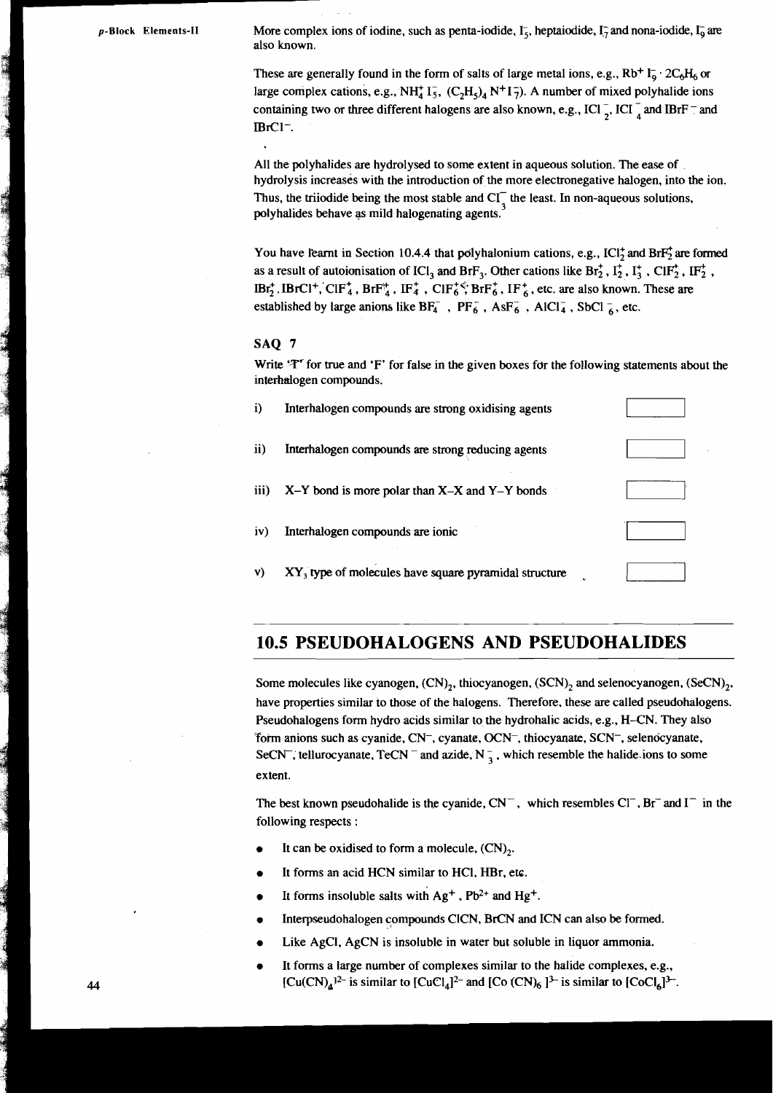p-Block Elements-II More complex ions of iodine, such as penta-iodide, I<sub>5</sub>, heptaiodide, I<sub>7</sub> and nona-iodide, I<sub>0</sub> are also known.

#### **SAQ 7**

|            | More complex ions of iodine, such as penta-iodide, $I_5$ , heptaiodide, $I_7$ and nona-iodide, $I_9$ are<br>also known.                                                                                                                                                                                                                                                                                                                                                                                                                                                                                                                                                                                                                                               |  |
|------------|-----------------------------------------------------------------------------------------------------------------------------------------------------------------------------------------------------------------------------------------------------------------------------------------------------------------------------------------------------------------------------------------------------------------------------------------------------------------------------------------------------------------------------------------------------------------------------------------------------------------------------------------------------------------------------------------------------------------------------------------------------------------------|--|
| $BrCl^-$ . | These are generally found in the form of salts of large metal ions, e.g., $Rb^{+}I_{0}^{-}$ . $2C_{6}H_{6}$ or<br>large complex cations, e.g., NH <sub>4</sub> $I_5^{\text{-}}$ , (C <sub>2</sub> H <sub>5</sub> ) <sub>4</sub> N <sup>+</sup> 1 <sub>7</sub> ). A number of mixed polyhalide ions<br>containing two or three different halogens are also known, e.g., ICI $\frac{1}{2}$ , ICI $\frac{1}{4}$ and IBrF $\frac{1}{2}$ and                                                                                                                                                                                                                                                                                                                               |  |
|            | All the polyhalides are hydrolysed to some extent in aqueous solution. The ease of<br>hydrolysis increases with the introduction of the more electronegative halogen, into the ion.<br>Thus, the triiodide being the most stable and $CI_{\perp}^-$ the least. In non-aqueous solutions,<br>polyhalides behave as mild halogenating agents.                                                                                                                                                                                                                                                                                                                                                                                                                           |  |
|            | You have learnt in Section 10.4.4 that polyhalonium cations, e.g., ICl <sub>7</sub> and BrF <sub>2</sub> are formed<br>as a result of autoionisation of ICl <sub>3</sub> and BrF <sub>3</sub> . Other cations like Br <sub>2</sub> <sup>+</sup> , I <sub>2</sub> <sup>+</sup> , I <sub>3</sub> <sup>+</sup> , ClF <sub>2</sub> <sup>+</sup> , IF <sub>2</sub> <sup>+</sup> ,<br>$IBr_2^+$ , IBrCl <sup>+</sup> , ClF <sup>+</sup> <sub>4</sub> , BrF <sup>+</sup> <sub>4</sub> , IF <sup>+</sup> <sub>4</sub> , ClF <sup>+<math>\zeta</math></sup> ; BrF <sup>+</sup> <sub>6</sub> , IF <sup>+</sup> <sub>6</sub> , etc. are also known. These are<br>established by large anions like $BF_4^-$ , $PF_6^-$ , $AsF_6^-$ , AlCl <sub>4</sub> , SbCl <sub>6</sub> , etc. |  |
| SAQ 7      |                                                                                                                                                                                                                                                                                                                                                                                                                                                                                                                                                                                                                                                                                                                                                                       |  |
|            | Write 'T' for true and 'F' for false in the given boxes for the following statements about the<br>interhalogen compounds.                                                                                                                                                                                                                                                                                                                                                                                                                                                                                                                                                                                                                                             |  |
| $\bf i)$   | Interhalogen compounds are strong oxidising agents                                                                                                                                                                                                                                                                                                                                                                                                                                                                                                                                                                                                                                                                                                                    |  |
| ii)        | Interhalogen compounds are strong reducing agents                                                                                                                                                                                                                                                                                                                                                                                                                                                                                                                                                                                                                                                                                                                     |  |
| iii)       | $X-Y$ bond is more polar than $X-X$ and $Y-Y$ bonds                                                                                                                                                                                                                                                                                                                                                                                                                                                                                                                                                                                                                                                                                                                   |  |
| iv)        | Interhalogen compounds are ionic                                                                                                                                                                                                                                                                                                                                                                                                                                                                                                                                                                                                                                                                                                                                      |  |
| V)         | XY <sub>3</sub> type of molecules have square pyramidal structure                                                                                                                                                                                                                                                                                                                                                                                                                                                                                                                                                                                                                                                                                                     |  |
|            |                                                                                                                                                                                                                                                                                                                                                                                                                                                                                                                                                                                                                                                                                                                                                                       |  |

### **10.5 PSEUDOHALOGENS AND PSEUDOHALIDES**

Some molecules like cyanogen,  $(CN)_2$ , thiocyanogen,  $(SCN)_2$  and selenocyanogen,  $(SCN)_2$ , have properties similar to those of the halogens. Therefore, these are called pseudohalogens. Pseudohalogens form hydro acids similar to the hydrohalic acids, e.g., H-CN. They also form anions such as cyanide, CN<sup>-</sup>, cyanate, OCN<sup>-</sup>, thiocyanate, SCN<sup>-</sup>, selenocyanate, SeCN<sup>-</sup>; tellurocyanate, TeCN<sup>-</sup> and azide, N<sup>-</sup><sub>3</sub>, which resemble the halide ions to some extent.

The best known pseudohalide is the cyanide,  $CN^-$ , which resembles  $Cl^-$ ,  $Br^-$  and  $I^-$  in the following respects :

- It can be oxidised to form a molecule,  $(CN)_{2}$ .
- It forms an acid HCN similar to HCl, HBr, etc.
- It forms insoluble salts with  $Ag^+$ ,  $Pb^{2+}$  and  $Hg^+$ .
- Interpseudohalogen compounds CICN, BrCN and ICN can also be formed.
- Like AgCI, AgCN is insoluble in water but soluble in liquor ammonia.
- It forms a large number of complexes similar to the halide complexes, e.g.,  $[Cu(CN)<sub>4</sub>$ <sup>12-</sup> is similar to  $[CuCl<sub>4</sub>]<sup>2-</sup>$  and  $[Co(CN)<sub>6</sub>]<sup>3-</sup>$  is similar to  $[CoCl<sub>6</sub>]<sup>3-</sup>$ .

**I**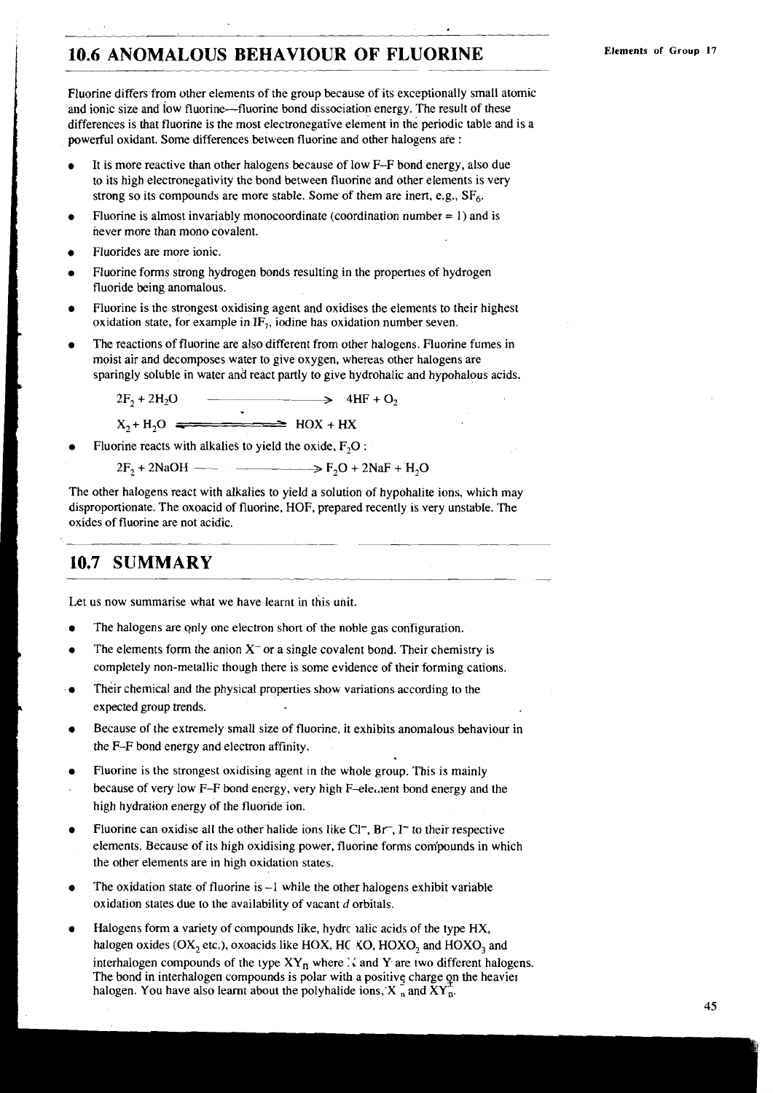## **10.6 ANOMALOUS BEHAVIOUR OF FLUORINE** -

Fluorine differs from other elements of the group because of its exceptionally small atomic and ionic size and low fluorine-fluorine bond dissociation energy. The result of these differences is that fluorine is the most electronegative element in the periodic table and is a powerful oxidant. Some differences between fluorine and other halogens are :

- It is more reactive than other halogens because of low F-F bond energy, also due to its high electronegativity the bond between fluorine and other elements is very strong so its compounds are more stable. Some of them are inert, e.g.,  $SF<sub>6</sub>$ .
- Fluorine is almost invariably monocoordinate (coordination number  $= 1$ ) and is never more than mono covalent.
- Fluorides are more ionic.
- Fluorine forms strong hydrogen bonds resulting in the properties of hydrogen fluoride being anomalous.
- Fluorine is the strongest oxidising agent and oxidises the elements to their highest oxidation state, for example in  $IF<sub>1</sub>$ , iodine has oxidation number seven.
- The reactions of fluorine are also different from other halogens. Fluorine fumes in moist air and decomposes water to give oxygen, whereas other halogens are sparingly soluble in water and react partly to give hydrohalic and hypohalous acids.<br>  $2F_2 + 2H_2O$   $\longrightarrow$   $4HF + O_2$

 $2F_2 + 2H_2O$   $\longrightarrow$   $4HF + O_2$ <br>X<sub>2</sub> + H<sub>2</sub>O  $\longrightarrow$  HOX + HX

- Fluorine reacts with alkalies to yield the oxide,  $F_2O$ :
	- $2F_2 + 2NaOH$   $\longrightarrow$   $F_2O + 2NaF + H_2O$

The other halogens react with alkalies to yield a solution of hypohalite ions, which may disproportionate. The oxoacid of fluorine, HOF, prepared recently is very unstable. The oxides of fluorine are not acidic.

### **10.7 SUMMARY**

Let us now summarise what we have learnt in this unit.

- The halogens are only one electron short of the noble gas configuration.
- The elements form the anion  $X^-$  or a single covalent bond. Their chemistry is completely non-metallic though there is some evidence of their forming cations.
- Their chemical and the physical properties show variations according to the expected group trends.
- Because of the extremely small size of fluorine, it exhibits anomalous behaviour in the F-F bond energy and electron affinity.
- Fluorine is the strongest oxidising agent in the whole group. This is mainly because of very low  $F-F$  bond energy, very high  $F-ele$ . lent bond energy and the high hydration energy of the fluoride ion.
- Fluorine can oxidise all the other halide ions like  $Cl^-$ ,  $Br^-$ ,  $I^-$  to their respective elements. Because of its high oxidising power, fluorine forms com'pounds in which the other elements are in high oxidation states.
- The oxidation state of fluorine is  $-1$  while the other halogens exhibit variable oxidation states due to the availability of vacant d orbitals.
- Halogens form a variety of compounds like, hydrc ralic acids of the type HX, halogen oxides (OX<sub>2</sub> etc.), oxoacids like HOX, HC XO, HOXO, and HOXO<sub>3</sub> and interhalogen compounds of the type  $XY_n$  where  $\therefore$  and Y are two different halogens. The bond in interhalogen compounds is polar with a positive charge on the heavier halogen. You have also learnt about the polyhalide ions,  $X_n$  and  $XY_n$ .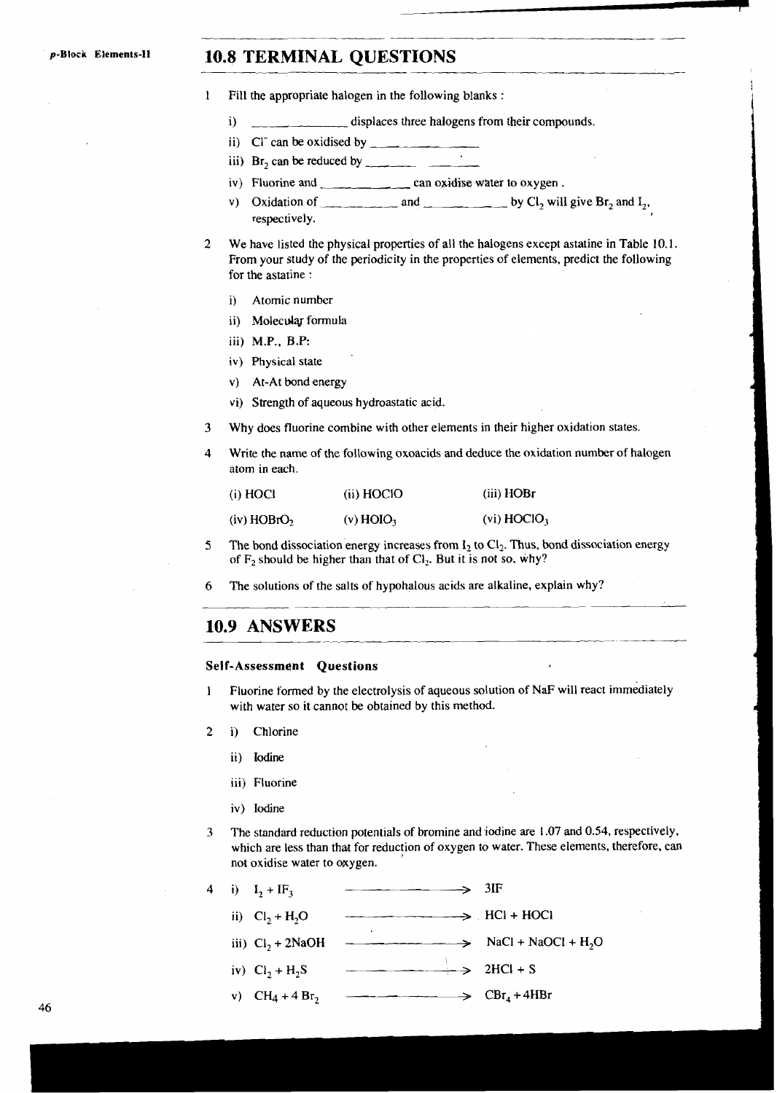### p-Block Elements-II **10.8 TERMINAL QUESTIONS**

- 1 Fill the appropriate halogen in the following blanks :
	- i) displaces three halogens from their compounds.
	- ii) C<sup> $\Gamma$ </sup> can be oxidised by  $\Gamma$
	- iii)  $Br_2$  can be reduced by  $\overline{\phantom{F}}$  iv) Fluorine and can
	- can oxidise water to oxygen.
	- v) Oxidation of  $\qquad \qquad$  and  $\qquad \qquad$  by Cl<sub>2</sub> will give Br<sub>2</sub> and  $I_2$ , respectively.

-

- **2** We have listed the physical properties of all the halogens except astatine in Table 10.1. From your study of the periodicity in the properties of elements, predict the following for the astatine :
	- i) Atomic number
	- ii) Molecular formula
	- iii) M.P., **B.P:**
	- iv) Physical state
	- v) At-At bond energy
	- vi) Strength of aqueous hydroastatic acid.
- 3 Why does fluorine combine with other elements in their higher oxidation states.
- 4 Write the name of the following oxoacids and deduce the oxidation number of halogen atom in each.

| (i) HOCI                  | (ii) HOCIO              | (iii) HOBr                |
|---------------------------|-------------------------|---------------------------|
| $(iv)$ HOBrO <sub>2</sub> | $(v)$ HOIO <sub>3</sub> | $(vi)$ HOClO <sub>2</sub> |

- 5 The bond dissociation energy increases from  $I_2$  to  $Cl_2$ . Thus, bond dissociation energy of  $F_2$  should be higher than that of  $Cl_2$ . But it is not so, why?
- 6 The solutions of the salts of hypohalous acids are alkaline, explain why?

### **10.9 ANSWERS**

#### **Self-Assessment Questions**

- 1 Fluorine formed by the electrolysis of aqueous solution of NaF will react immediately with water so it cannot **be** obtained by this method.
- 2 i) Chlorine
	- ii) Iodine
	- iii) Fluorine
	- iv) Iodine
- **3** The standard reduction potentials of bromine and iodine are 1.07 and 0.54, respectively, which are less than that for reduction of oxygen to water. These elements, therefore, can not oxidise water to oxygen.

| i) $I_2 + IF_3$     |                    | – 31F                    |
|---------------------|--------------------|--------------------------|
| ii) $Cl_2 + H_2O$   |                    | $\rightarrow$ HCl + HOCl |
| iii) $Cl_2 + 2NaOH$ | ٠<br>$\rightarrow$ | $NaCl + NaOCl + H2O$     |
| iv) $Cl_2 + H_2S$   |                    | $\Rightarrow$ 2HCl + S   |
| $CH_4 + 4 Br_2$     |                    | $CBr4 + 4HBr$            |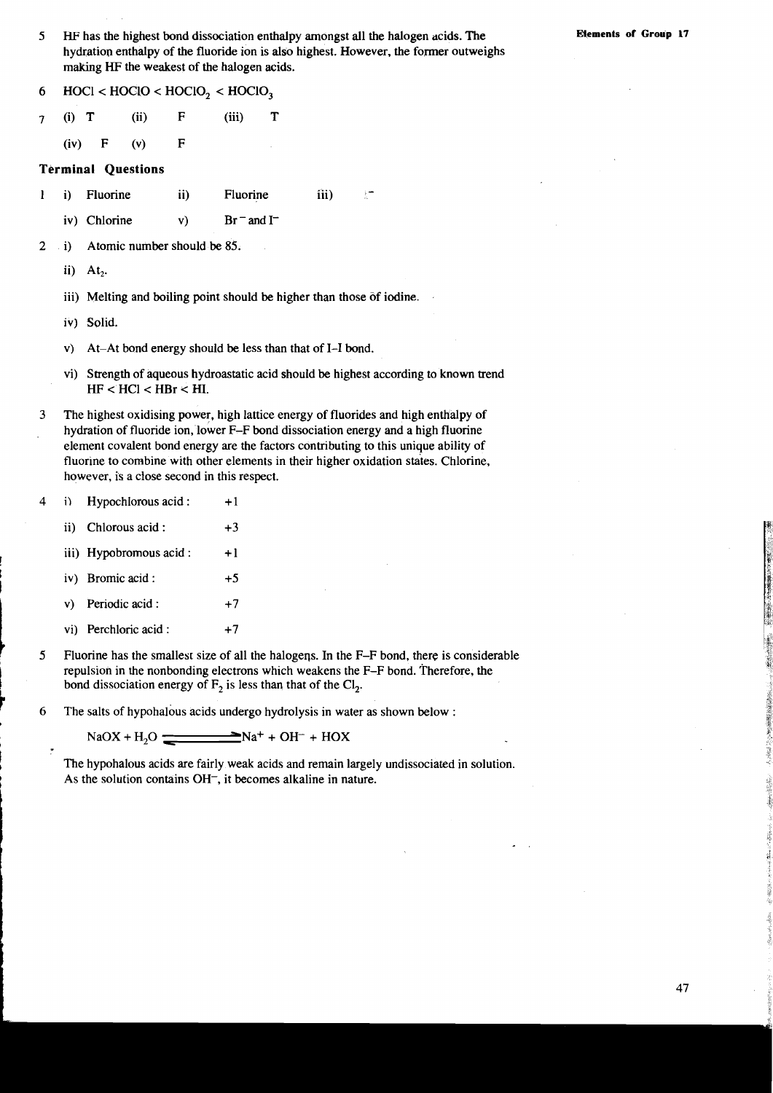5 **HF** has the highest bond dissociation enthalpy amongst all the halogen acids. The hydration enthalpy of the fluoride ion is also highest. However, the former outweighs making HF the weakest of the halogen acids.

6  $\text{HOC1}$  <  $\text{HOC1O}$  <  $\text{HOC1O}_2$  <  $\text{HOC1O}_3$ 

**7** (i) T (ii) F (iii) T

(iv) F (v) F

#### **Terminal Questions**

- 1 i) Fluorine ii) Fluorine iii)
	- iv) Chlorine v)  $Br = and I^-$
- 2 i) Atomic number should be 85.
	- ii) At,.
	- iii) Melting and boiling point should be higher than those of iodine.
	- iv) Solid.

t

**t** 

- V) At-At bond energy should be less than that of 1-1 bond.
- vi) Strength of aqueous hydroastatic acid should be highest according to known trend  $HF < HCl < HBr < HI$ .
- 3 The highest oxidising power, high lattice energy of fluorides and high enthalpy of hydration of fluoride ion, lower F-F bond dissociation energy and a high fluorine element covalent bond energy are the factors contributing to this unique ability of fluorine to combine with other elements in their higher oxidation states. Chlorine, however, is a close second in this respect.
- 4 i) **Hypochlorous acid :**  $+1$ 
	- ii) Chlorous acid :  $+3$
	- iii) Hypobromous  $\text{acid}: +1$
	- I iv) Bromic acid : **+5**
	- v) Periodic acid :  $+7$ <br>
	vi) Perchloric acid :  $+7$
	- vi) Perchloric acid :
- **5** Fluorine has the smallest size of all the halogeqs. In the F-F bond, there is considerable repulsion in the nonbonding electrons which weakens the F-F bond. Therefore, the bond dissociation energy of  $F_2$  is less than that of the Cl<sub>2</sub>.
- **6** The salts of hypohalous acids undergo hydrolysis in water as shown below :

 $NaOX + H<sub>2</sub>O$   $\longrightarrow$   $Na<sup>+</sup> + OH<sup>-</sup> + HOX$ 

The hypohalous acids are fairly weak acids and remain largely undissociated in solution. As the solution contains OH<sup>-</sup>, it becomes alkaline in nature.